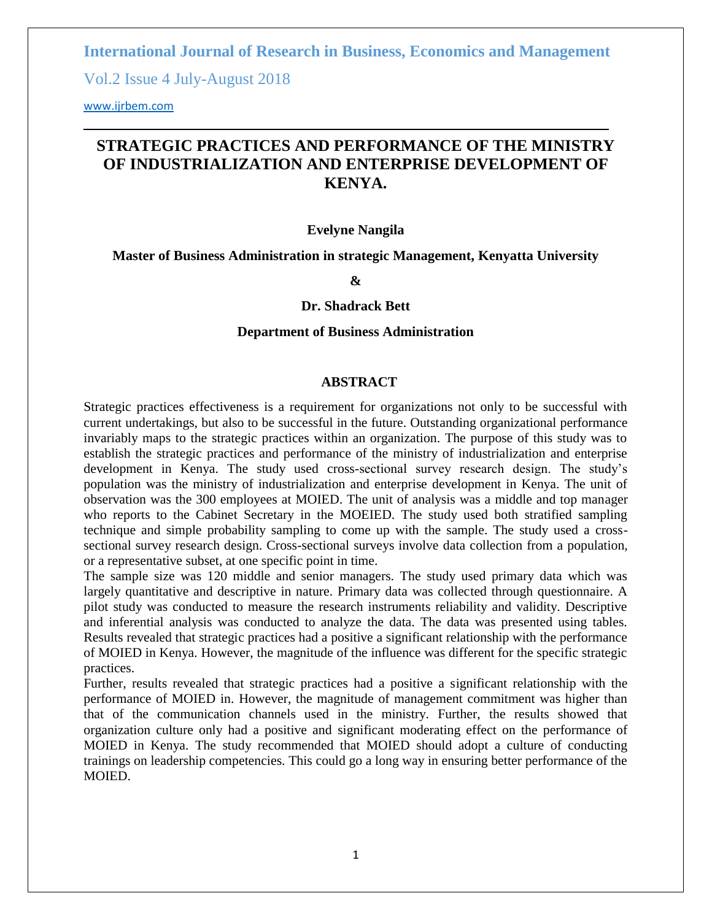**International Journal of Research in Business, Economics and Management** 

Vol.2 Issue 4 July-August 2018

<www.ijrbem.com>

# **STRATEGIC PRACTICES AND PERFORMANCE OF THE MINISTRY OF INDUSTRIALIZATION AND ENTERPRISE DEVELOPMENT OF KENYA.**

#### **Evelyne Nangila**

**Master of Business Administration in strategic Management, Kenyatta University**

**&**

#### **Dr. Shadrack Bett**

#### **Department of Business Administration**

#### **ABSTRACT**

Strategic practices effectiveness is a requirement for organizations not only to be successful with current undertakings, but also to be successful in the future. Outstanding organizational performance invariably maps to the strategic practices within an organization. The purpose of this study was to establish the strategic practices and performance of the ministry of industrialization and enterprise development in Kenya. The study used cross-sectional survey research design. The study"s population was the ministry of industrialization and enterprise development in Kenya. The unit of observation was the 300 employees at MOIED. The unit of analysis was a middle and top manager who reports to the Cabinet Secretary in the MOEIED. The study used both stratified sampling technique and simple probability sampling to come up with the sample. The study used a crosssectional survey research design. Cross-sectional surveys involve data collection from a population, or a representative subset, at one specific point in time.

The sample size was 120 middle and senior managers. The study used primary data which was largely quantitative and descriptive in nature. Primary data was collected through questionnaire. A pilot study was conducted to measure the research instruments reliability and validity. Descriptive and inferential analysis was conducted to analyze the data. The data was presented using tables. Results revealed that strategic practices had a positive a significant relationship with the performance of MOIED in Kenya. However, the magnitude of the influence was different for the specific strategic practices.

Further, results revealed that strategic practices had a positive a significant relationship with the performance of MOIED in. However, the magnitude of management commitment was higher than that of the communication channels used in the ministry. Further, the results showed that organization culture only had a positive and significant moderating effect on the performance of MOIED in Kenya. The study recommended that MOIED should adopt a culture of conducting trainings on leadership competencies. This could go a long way in ensuring better performance of the **MOIED.**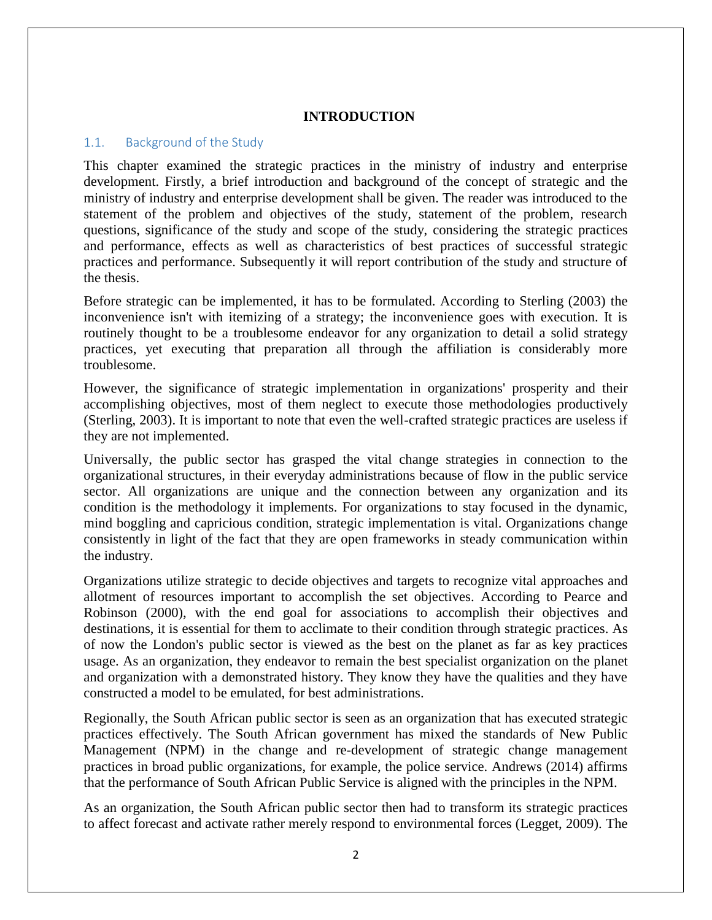## **INTRODUCTION**

#### 1.1. Background of the Study

This chapter examined the strategic practices in the ministry of industry and enterprise development. Firstly, a brief introduction and background of the concept of strategic and the ministry of industry and enterprise development shall be given. The reader was introduced to the statement of the problem and objectives of the study, statement of the problem, research questions, significance of the study and scope of the study, considering the strategic practices and performance, effects as well as characteristics of best practices of successful strategic practices and performance. Subsequently it will report contribution of the study and structure of the thesis.

Before strategic can be implemented, it has to be formulated. According to Sterling (2003) the inconvenience isn't with itemizing of a strategy; the inconvenience goes with execution. It is routinely thought to be a troublesome endeavor for any organization to detail a solid strategy practices, yet executing that preparation all through the affiliation is considerably more troublesome.

However, the significance of strategic implementation in organizations' prosperity and their accomplishing objectives, most of them neglect to execute those methodologies productively (Sterling, 2003). It is important to note that even the well-crafted strategic practices are useless if they are not implemented.

Universally, the public sector has grasped the vital change strategies in connection to the organizational structures, in their everyday administrations because of flow in the public service sector. All organizations are unique and the connection between any organization and its condition is the methodology it implements. For organizations to stay focused in the dynamic, mind boggling and capricious condition, strategic implementation is vital. Organizations change consistently in light of the fact that they are open frameworks in steady communication within the industry.

Organizations utilize strategic to decide objectives and targets to recognize vital approaches and allotment of resources important to accomplish the set objectives. According to Pearce and Robinson (2000), with the end goal for associations to accomplish their objectives and destinations, it is essential for them to acclimate to their condition through strategic practices. As of now the London's public sector is viewed as the best on the planet as far as key practices usage. As an organization, they endeavor to remain the best specialist organization on the planet and organization with a demonstrated history. They know they have the qualities and they have constructed a model to be emulated, for best administrations.

Regionally, the South African public sector is seen as an organization that has executed strategic practices effectively. The South African government has mixed the standards of New Public Management (NPM) in the change and re-development of strategic change management practices in broad public organizations, for example, the police service. Andrews (2014) affirms that the performance of South African Public Service is aligned with the principles in the NPM.

As an organization, the South African public sector then had to transform its strategic practices to affect forecast and activate rather merely respond to environmental forces (Legget, 2009). The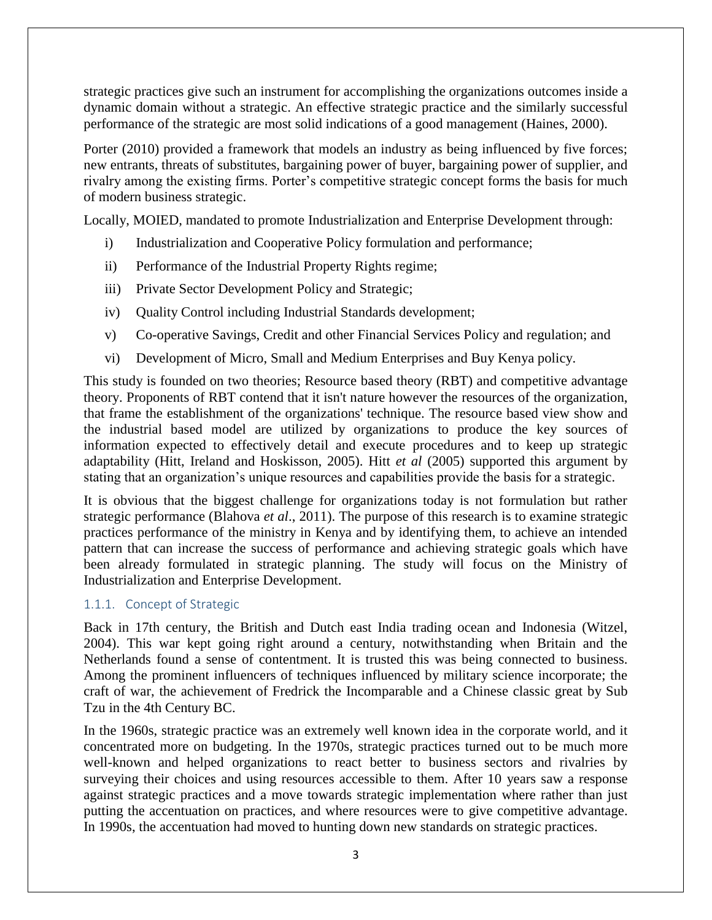strategic practices give such an instrument for accomplishing the organizations outcomes inside a dynamic domain without a strategic. An effective strategic practice and the similarly successful performance of the strategic are most solid indications of a good management (Haines, 2000).

Porter (2010) provided a framework that models an industry as being influenced by five forces; new entrants, threats of substitutes, bargaining power of buyer, bargaining power of supplier, and rivalry among the existing firms. Porter's competitive strategic concept forms the basis for much of modern business strategic.

Locally, MOIED, mandated to promote Industrialization and Enterprise Development through:

- i) Industrialization and Cooperative Policy formulation and performance;
- ii) Performance of the Industrial Property Rights regime;
- iii) Private Sector Development Policy and Strategic;
- iv) Quality Control including Industrial Standards development;
- v) Co-operative Savings, Credit and other Financial Services Policy and regulation; and
- vi) Development of Micro, Small and Medium Enterprises and Buy Kenya policy.

This study is founded on two theories; Resource based theory (RBT) and competitive advantage theory. Proponents of RBT contend that it isn't nature however the resources of the organization, that frame the establishment of the organizations' technique. The resource based view show and the industrial based model are utilized by organizations to produce the key sources of information expected to effectively detail and execute procedures and to keep up strategic adaptability (Hitt, Ireland and Hoskisson, 2005). Hitt *et al* (2005) supported this argument by stating that an organization"s unique resources and capabilities provide the basis for a strategic.

It is obvious that the biggest challenge for organizations today is not formulation but rather strategic performance (Blahova *et al*., 2011). The purpose of this research is to examine strategic practices performance of the ministry in Kenya and by identifying them, to achieve an intended pattern that can increase the success of performance and achieving strategic goals which have been already formulated in strategic planning. The study will focus on the Ministry of Industrialization and Enterprise Development.

## 1.1.1. Concept of Strategic

Back in 17th century, the British and Dutch east India trading ocean and Indonesia (Witzel, 2004). This war kept going right around a century, notwithstanding when Britain and the Netherlands found a sense of contentment. It is trusted this was being connected to business. Among the prominent influencers of techniques influenced by military science incorporate; the craft of war, the achievement of Fredrick the Incomparable and a Chinese classic great by Sub Tzu in the 4th Century BC.

In the 1960s, strategic practice was an extremely well known idea in the corporate world, and it concentrated more on budgeting. In the 1970s, strategic practices turned out to be much more well-known and helped organizations to react better to business sectors and rivalries by surveying their choices and using resources accessible to them. After 10 years saw a response against strategic practices and a move towards strategic implementation where rather than just putting the accentuation on practices, and where resources were to give competitive advantage. In 1990s, the accentuation had moved to hunting down new standards on strategic practices.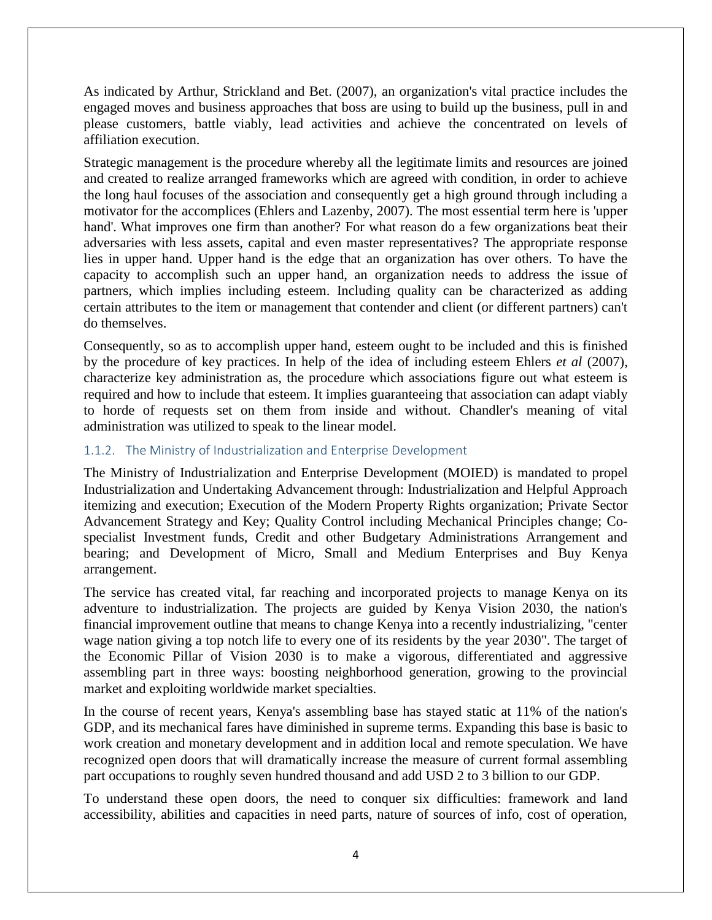As indicated by Arthur, Strickland and Bet. (2007), an organization's vital practice includes the engaged moves and business approaches that boss are using to build up the business, pull in and please customers, battle viably, lead activities and achieve the concentrated on levels of affiliation execution.

Strategic management is the procedure whereby all the legitimate limits and resources are joined and created to realize arranged frameworks which are agreed with condition, in order to achieve the long haul focuses of the association and consequently get a high ground through including a motivator for the accomplices (Ehlers and Lazenby, 2007). The most essential term here is 'upper hand'. What improves one firm than another? For what reason do a few organizations beat their adversaries with less assets, capital and even master representatives? The appropriate response lies in upper hand. Upper hand is the edge that an organization has over others. To have the capacity to accomplish such an upper hand, an organization needs to address the issue of partners, which implies including esteem. Including quality can be characterized as adding certain attributes to the item or management that contender and client (or different partners) can't do themselves.

Consequently, so as to accomplish upper hand, esteem ought to be included and this is finished by the procedure of key practices. In help of the idea of including esteem Ehlers *et al* (2007), characterize key administration as, the procedure which associations figure out what esteem is required and how to include that esteem. It implies guaranteeing that association can adapt viably to horde of requests set on them from inside and without. Chandler's meaning of vital administration was utilized to speak to the linear model.

## 1.1.2. The Ministry of Industrialization and Enterprise Development

The Ministry of Industrialization and Enterprise Development (MOIED) is mandated to propel Industrialization and Undertaking Advancement through: Industrialization and Helpful Approach itemizing and execution; Execution of the Modern Property Rights organization; Private Sector Advancement Strategy and Key; Quality Control including Mechanical Principles change; Cospecialist Investment funds, Credit and other Budgetary Administrations Arrangement and bearing; and Development of Micro, Small and Medium Enterprises and Buy Kenya arrangement.

The service has created vital, far reaching and incorporated projects to manage Kenya on its adventure to industrialization. The projects are guided by Kenya Vision 2030, the nation's financial improvement outline that means to change Kenya into a recently industrializing, "center wage nation giving a top notch life to every one of its residents by the year 2030". The target of the Economic Pillar of Vision 2030 is to make a vigorous, differentiated and aggressive assembling part in three ways: boosting neighborhood generation, growing to the provincial market and exploiting worldwide market specialties.

In the course of recent years, Kenya's assembling base has stayed static at 11% of the nation's GDP, and its mechanical fares have diminished in supreme terms. Expanding this base is basic to work creation and monetary development and in addition local and remote speculation. We have recognized open doors that will dramatically increase the measure of current formal assembling part occupations to roughly seven hundred thousand and add USD 2 to 3 billion to our GDP.

To understand these open doors, the need to conquer six difficulties: framework and land accessibility, abilities and capacities in need parts, nature of sources of info, cost of operation,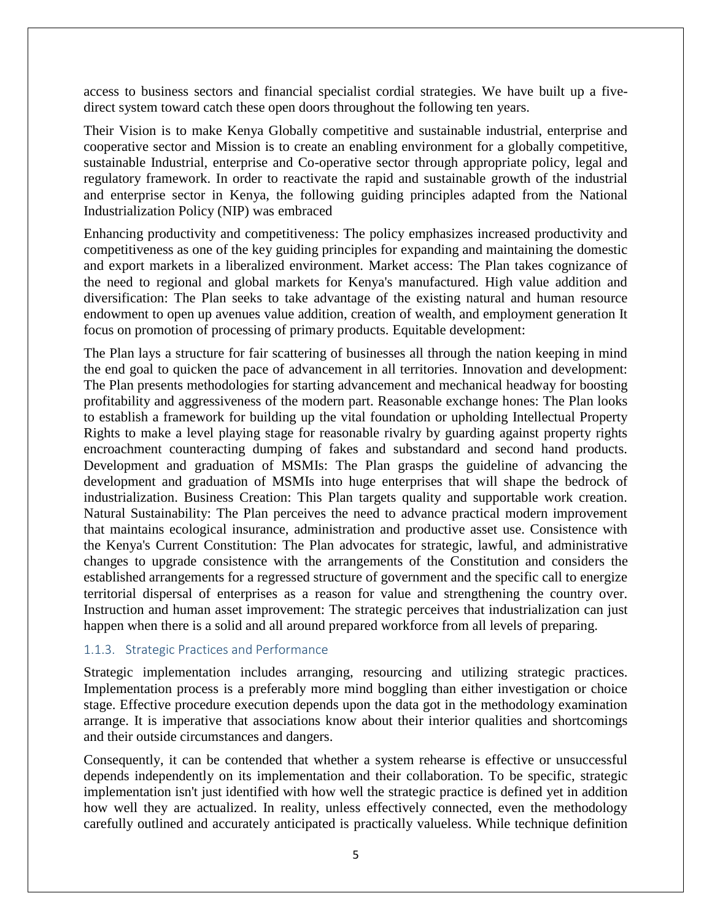access to business sectors and financial specialist cordial strategies. We have built up a fivedirect system toward catch these open doors throughout the following ten years.

Their Vision is to make Kenya Globally competitive and sustainable industrial, enterprise and cooperative sector and Mission is to create an enabling environment for a globally competitive, sustainable Industrial, enterprise and Co-operative sector through appropriate policy, legal and regulatory framework. In order to reactivate the rapid and sustainable growth of the industrial and enterprise sector in Kenya, the following guiding principles adapted from the National Industrialization Policy (NIP) was embraced

Enhancing productivity and competitiveness: The policy emphasizes increased productivity and competitiveness as one of the key guiding principles for expanding and maintaining the domestic and export markets in a liberalized environment. Market access: The Plan takes cognizance of the need to regional and global markets for Kenya's manufactured. High value addition and diversification: The Plan seeks to take advantage of the existing natural and human resource endowment to open up avenues value addition, creation of wealth, and employment generation It focus on promotion of processing of primary products. Equitable development:

The Plan lays a structure for fair scattering of businesses all through the nation keeping in mind the end goal to quicken the pace of advancement in all territories. Innovation and development: The Plan presents methodologies for starting advancement and mechanical headway for boosting profitability and aggressiveness of the modern part. Reasonable exchange hones: The Plan looks to establish a framework for building up the vital foundation or upholding Intellectual Property Rights to make a level playing stage for reasonable rivalry by guarding against property rights encroachment counteracting dumping of fakes and substandard and second hand products. Development and graduation of MSMIs: The Plan grasps the guideline of advancing the development and graduation of MSMIs into huge enterprises that will shape the bedrock of industrialization. Business Creation: This Plan targets quality and supportable work creation. Natural Sustainability: The Plan perceives the need to advance practical modern improvement that maintains ecological insurance, administration and productive asset use. Consistence with the Kenya's Current Constitution: The Plan advocates for strategic, lawful, and administrative changes to upgrade consistence with the arrangements of the Constitution and considers the established arrangements for a regressed structure of government and the specific call to energize territorial dispersal of enterprises as a reason for value and strengthening the country over. Instruction and human asset improvement: The strategic perceives that industrialization can just happen when there is a solid and all around prepared workforce from all levels of preparing.

## 1.1.3. Strategic Practices and Performance

Strategic implementation includes arranging, resourcing and utilizing strategic practices. Implementation process is a preferably more mind boggling than either investigation or choice stage. Effective procedure execution depends upon the data got in the methodology examination arrange. It is imperative that associations know about their interior qualities and shortcomings and their outside circumstances and dangers.

Consequently, it can be contended that whether a system rehearse is effective or unsuccessful depends independently on its implementation and their collaboration. To be specific, strategic implementation isn't just identified with how well the strategic practice is defined yet in addition how well they are actualized. In reality, unless effectively connected, even the methodology carefully outlined and accurately anticipated is practically valueless. While technique definition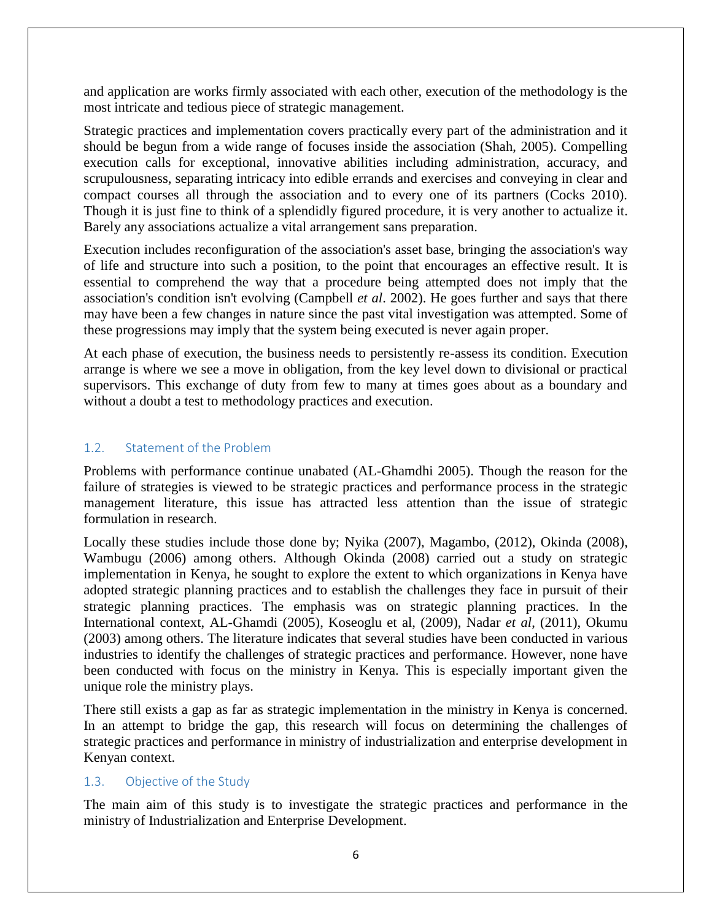and application are works firmly associated with each other, execution of the methodology is the most intricate and tedious piece of strategic management.

Strategic practices and implementation covers practically every part of the administration and it should be begun from a wide range of focuses inside the association (Shah, 2005). Compelling execution calls for exceptional, innovative abilities including administration, accuracy, and scrupulousness, separating intricacy into edible errands and exercises and conveying in clear and compact courses all through the association and to every one of its partners (Cocks 2010). Though it is just fine to think of a splendidly figured procedure, it is very another to actualize it. Barely any associations actualize a vital arrangement sans preparation.

Execution includes reconfiguration of the association's asset base, bringing the association's way of life and structure into such a position, to the point that encourages an effective result. It is essential to comprehend the way that a procedure being attempted does not imply that the association's condition isn't evolving (Campbell *et al*. 2002). He goes further and says that there may have been a few changes in nature since the past vital investigation was attempted. Some of these progressions may imply that the system being executed is never again proper.

At each phase of execution, the business needs to persistently re-assess its condition. Execution arrange is where we see a move in obligation, from the key level down to divisional or practical supervisors. This exchange of duty from few to many at times goes about as a boundary and without a doubt a test to methodology practices and execution.

## 1.2. Statement of the Problem

Problems with performance continue unabated (AL-Ghamdhi 2005). Though the reason for the failure of strategies is viewed to be strategic practices and performance process in the strategic management literature, this issue has attracted less attention than the issue of strategic formulation in research.

Locally these studies include those done by; Nyika (2007), Magambo, (2012), Okinda (2008), Wambugu (2006) among others. Although Okinda (2008) carried out a study on strategic implementation in Kenya, he sought to explore the extent to which organizations in Kenya have adopted strategic planning practices and to establish the challenges they face in pursuit of their strategic planning practices. The emphasis was on strategic planning practices. In the International context, AL-Ghamdi (2005), Koseoglu et al, (2009), Nadar *et al*, (2011), Okumu (2003) among others. The literature indicates that several studies have been conducted in various industries to identify the challenges of strategic practices and performance. However, none have been conducted with focus on the ministry in Kenya. This is especially important given the unique role the ministry plays.

There still exists a gap as far as strategic implementation in the ministry in Kenya is concerned. In an attempt to bridge the gap, this research will focus on determining the challenges of strategic practices and performance in ministry of industrialization and enterprise development in Kenyan context.

## 1.3. Objective of the Study

The main aim of this study is to investigate the strategic practices and performance in the ministry of Industrialization and Enterprise Development.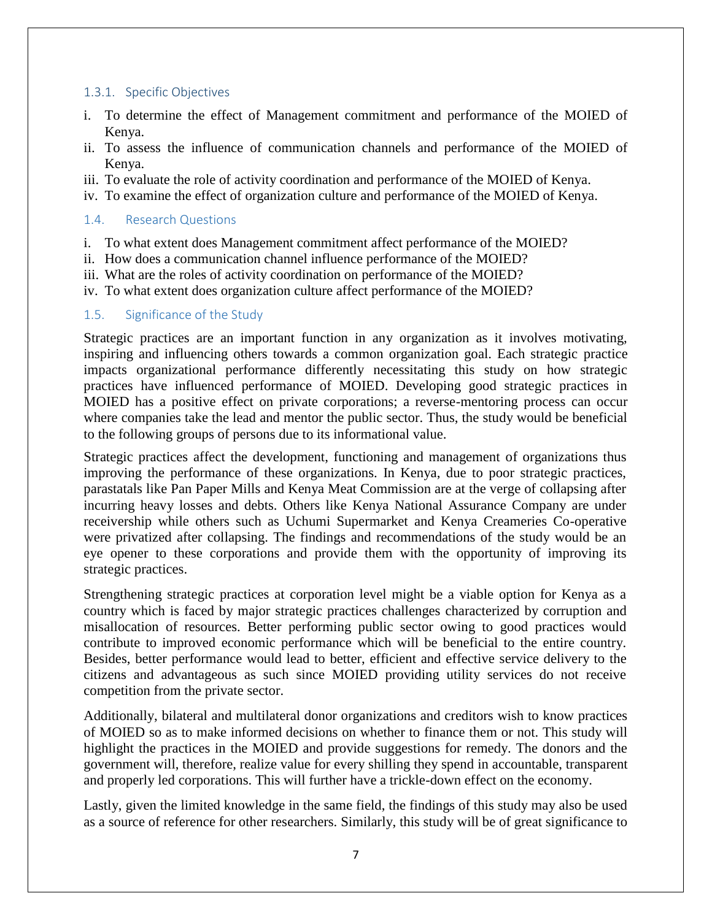## 1.3.1. Specific Objectives

- i. To determine the effect of Management commitment and performance of the MOIED of Kenya.
- ii. To assess the influence of communication channels and performance of the MOIED of Kenya.
- iii. To evaluate the role of activity coordination and performance of the MOIED of Kenya.
- iv. To examine the effect of organization culture and performance of the MOIED of Kenya.

## 1.4. Research Questions

- i. To what extent does Management commitment affect performance of the MOIED?
- ii. How does a communication channel influence performance of the MOIED?
- iii. What are the roles of activity coordination on performance of the MOIED?
- iv. To what extent does organization culture affect performance of the MOIED?

## 1.5. Significance of the Study

Strategic practices are an important function in any organization as it involves motivating, inspiring and influencing others towards a common organization goal. Each strategic practice impacts organizational performance differently necessitating this study on how strategic practices have influenced performance of MOIED. Developing good strategic practices in MOIED has a positive effect on private corporations; a reverse-mentoring process can occur where companies take the lead and mentor the public sector. Thus, the study would be beneficial to the following groups of persons due to its informational value.

Strategic practices affect the development, functioning and management of organizations thus improving the performance of these organizations. In Kenya, due to poor strategic practices, parastatals like Pan Paper Mills and Kenya Meat Commission are at the verge of collapsing after incurring heavy losses and debts. Others like Kenya National Assurance Company are under receivership while others such as Uchumi Supermarket and Kenya Creameries Co-operative were privatized after collapsing. The findings and recommendations of the study would be an eye opener to these corporations and provide them with the opportunity of improving its strategic practices.

Strengthening strategic practices at corporation level might be a viable option for Kenya as a country which is faced by major strategic practices challenges characterized by corruption and misallocation of resources. Better performing public sector owing to good practices would contribute to improved economic performance which will be beneficial to the entire country. Besides, better performance would lead to better, efficient and effective service delivery to the citizens and advantageous as such since MOIED providing utility services do not receive competition from the private sector.

Additionally, bilateral and multilateral donor organizations and creditors wish to know practices of MOIED so as to make informed decisions on whether to finance them or not. This study will highlight the practices in the MOIED and provide suggestions for remedy. The donors and the government will, therefore, realize value for every shilling they spend in accountable, transparent and properly led corporations. This will further have a trickle-down effect on the economy.

Lastly, given the limited knowledge in the same field, the findings of this study may also be used as a source of reference for other researchers. Similarly, this study will be of great significance to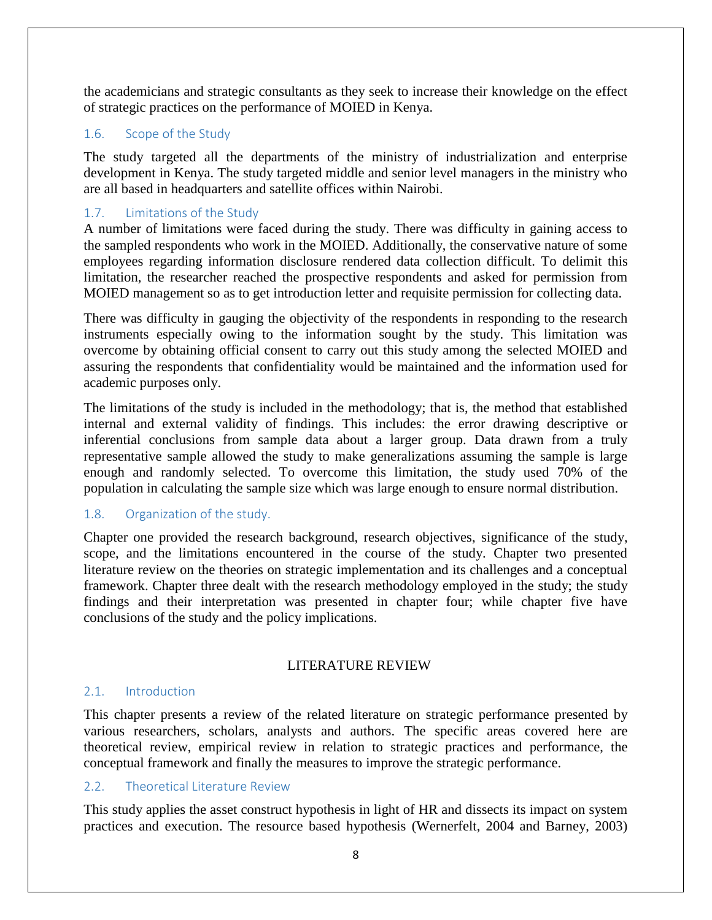the academicians and strategic consultants as they seek to increase their knowledge on the effect of strategic practices on the performance of MOIED in Kenya.

## 1.6. Scope of the Study

The study targeted all the departments of the ministry of industrialization and enterprise development in Kenya. The study targeted middle and senior level managers in the ministry who are all based in headquarters and satellite offices within Nairobi.

## 1.7. Limitations of the Study

A number of limitations were faced during the study. There was difficulty in gaining access to the sampled respondents who work in the MOIED. Additionally, the conservative nature of some employees regarding information disclosure rendered data collection difficult. To delimit this limitation, the researcher reached the prospective respondents and asked for permission from MOIED management so as to get introduction letter and requisite permission for collecting data.

There was difficulty in gauging the objectivity of the respondents in responding to the research instruments especially owing to the information sought by the study. This limitation was overcome by obtaining official consent to carry out this study among the selected MOIED and assuring the respondents that confidentiality would be maintained and the information used for academic purposes only.

The limitations of the study is included in the methodology; that is, the method that established internal and external validity of findings. This includes: the error drawing descriptive or inferential conclusions from sample data about a larger group. Data drawn from a truly representative sample allowed the study to make generalizations assuming the sample is large enough and randomly selected. To overcome this limitation, the study used 70% of the population in calculating the sample size which was large enough to ensure normal distribution.

## 1.8. Organization of the study.

Chapter one provided the research background, research objectives, significance of the study, scope, and the limitations encountered in the course of the study. Chapter two presented literature review on the theories on strategic implementation and its challenges and a conceptual framework. Chapter three dealt with the research methodology employed in the study; the study findings and their interpretation was presented in chapter four; while chapter five have conclusions of the study and the policy implications.

## LITERATURE REVIEW

## 2.1. Introduction

This chapter presents a review of the related literature on strategic performance presented by various researchers, scholars, analysts and authors. The specific areas covered here are theoretical review, empirical review in relation to strategic practices and performance, the conceptual framework and finally the measures to improve the strategic performance.

## 2.2. Theoretical Literature Review

This study applies the asset construct hypothesis in light of HR and dissects its impact on system practices and execution. The resource based hypothesis (Wernerfelt, 2004 and Barney, 2003)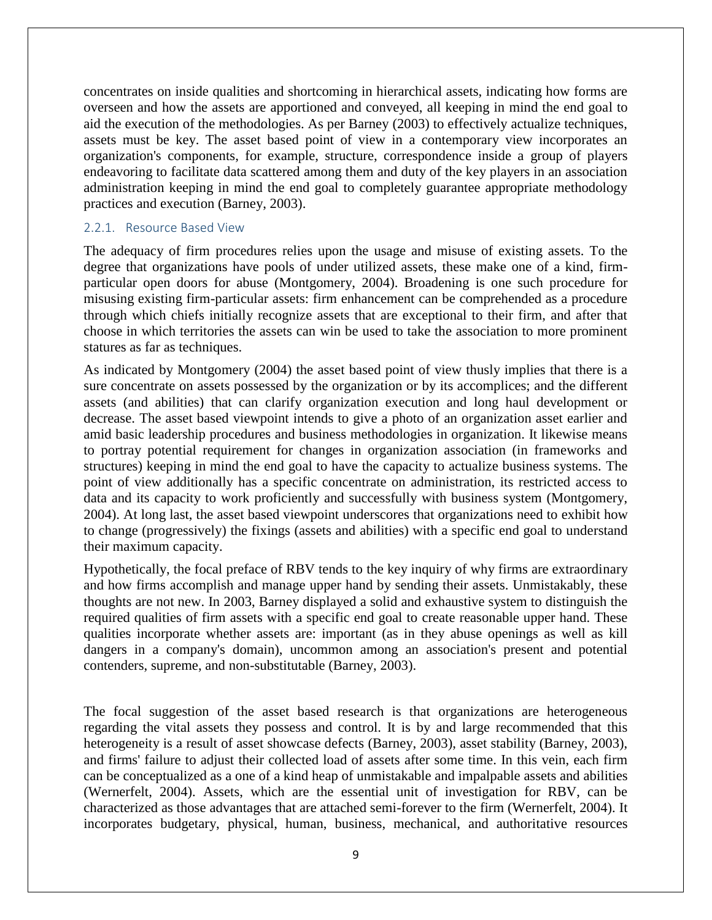concentrates on inside qualities and shortcoming in hierarchical assets, indicating how forms are overseen and how the assets are apportioned and conveyed, all keeping in mind the end goal to aid the execution of the methodologies. As per Barney (2003) to effectively actualize techniques, assets must be key. The asset based point of view in a contemporary view incorporates an organization's components, for example, structure, correspondence inside a group of players endeavoring to facilitate data scattered among them and duty of the key players in an association administration keeping in mind the end goal to completely guarantee appropriate methodology practices and execution (Barney, 2003).

#### 2.2.1. Resource Based View

The adequacy of firm procedures relies upon the usage and misuse of existing assets. To the degree that organizations have pools of under utilized assets, these make one of a kind, firmparticular open doors for abuse (Montgomery, 2004). Broadening is one such procedure for misusing existing firm-particular assets: firm enhancement can be comprehended as a procedure through which chiefs initially recognize assets that are exceptional to their firm, and after that choose in which territories the assets can win be used to take the association to more prominent statures as far as techniques.

As indicated by Montgomery (2004) the asset based point of view thusly implies that there is a sure concentrate on assets possessed by the organization or by its accomplices; and the different assets (and abilities) that can clarify organization execution and long haul development or decrease. The asset based viewpoint intends to give a photo of an organization asset earlier and amid basic leadership procedures and business methodologies in organization. It likewise means to portray potential requirement for changes in organization association (in frameworks and structures) keeping in mind the end goal to have the capacity to actualize business systems. The point of view additionally has a specific concentrate on administration, its restricted access to data and its capacity to work proficiently and successfully with business system (Montgomery, 2004). At long last, the asset based viewpoint underscores that organizations need to exhibit how to change (progressively) the fixings (assets and abilities) with a specific end goal to understand their maximum capacity.

Hypothetically, the focal preface of RBV tends to the key inquiry of why firms are extraordinary and how firms accomplish and manage upper hand by sending their assets. Unmistakably, these thoughts are not new. In 2003, Barney displayed a solid and exhaustive system to distinguish the required qualities of firm assets with a specific end goal to create reasonable upper hand. These qualities incorporate whether assets are: important (as in they abuse openings as well as kill dangers in a company's domain), uncommon among an association's present and potential contenders, supreme, and non-substitutable (Barney, 2003).

The focal suggestion of the asset based research is that organizations are heterogeneous regarding the vital assets they possess and control. It is by and large recommended that this heterogeneity is a result of asset showcase defects (Barney, 2003), asset stability (Barney, 2003), and firms' failure to adjust their collected load of assets after some time. In this vein, each firm can be conceptualized as a one of a kind heap of unmistakable and impalpable assets and abilities (Wernerfelt, 2004). Assets, which are the essential unit of investigation for RBV, can be characterized as those advantages that are attached semi-forever to the firm (Wernerfelt, 2004). It incorporates budgetary, physical, human, business, mechanical, and authoritative resources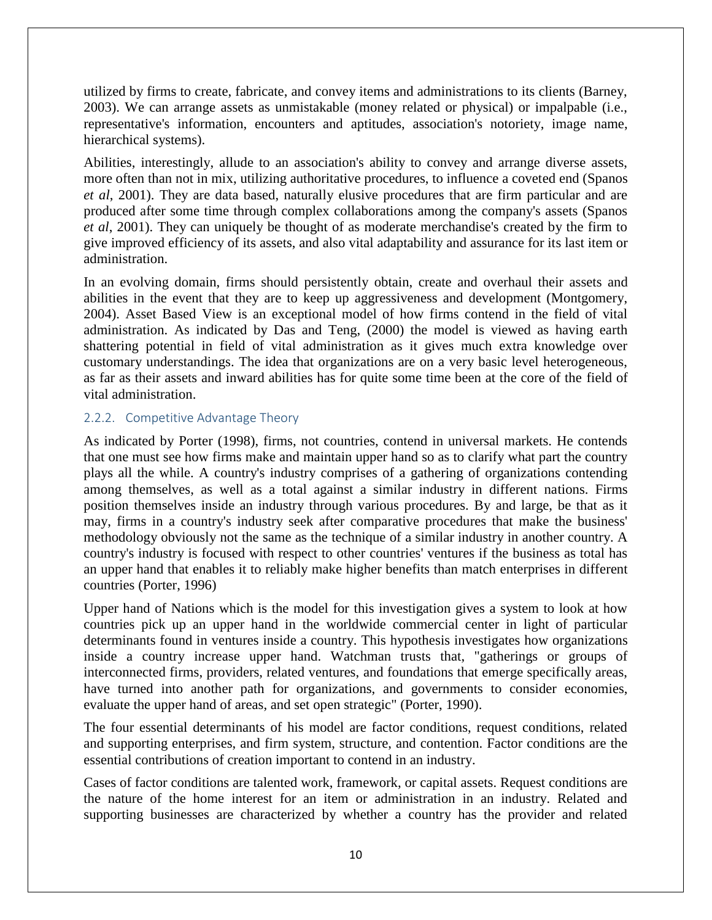utilized by firms to create, fabricate, and convey items and administrations to its clients (Barney, 2003). We can arrange assets as unmistakable (money related or physical) or impalpable (i.e., representative's information, encounters and aptitudes, association's notoriety, image name, hierarchical systems).

Abilities, interestingly, allude to an association's ability to convey and arrange diverse assets, more often than not in mix, utilizing authoritative procedures, to influence a coveted end (Spanos *et al*, 2001). They are data based, naturally elusive procedures that are firm particular and are produced after some time through complex collaborations among the company's assets (Spanos *et al*, 2001). They can uniquely be thought of as moderate merchandise's created by the firm to give improved efficiency of its assets, and also vital adaptability and assurance for its last item or administration.

In an evolving domain, firms should persistently obtain, create and overhaul their assets and abilities in the event that they are to keep up aggressiveness and development (Montgomery, 2004). Asset Based View is an exceptional model of how firms contend in the field of vital administration. As indicated by Das and Teng, (2000) the model is viewed as having earth shattering potential in field of vital administration as it gives much extra knowledge over customary understandings. The idea that organizations are on a very basic level heterogeneous, as far as their assets and inward abilities has for quite some time been at the core of the field of vital administration.

## 2.2.2. Competitive Advantage Theory

As indicated by Porter (1998), firms, not countries, contend in universal markets. He contends that one must see how firms make and maintain upper hand so as to clarify what part the country plays all the while. A country's industry comprises of a gathering of organizations contending among themselves, as well as a total against a similar industry in different nations. Firms position themselves inside an industry through various procedures. By and large, be that as it may, firms in a country's industry seek after comparative procedures that make the business' methodology obviously not the same as the technique of a similar industry in another country. A country's industry is focused with respect to other countries' ventures if the business as total has an upper hand that enables it to reliably make higher benefits than match enterprises in different countries (Porter, 1996)

Upper hand of Nations which is the model for this investigation gives a system to look at how countries pick up an upper hand in the worldwide commercial center in light of particular determinants found in ventures inside a country. This hypothesis investigates how organizations inside a country increase upper hand. Watchman trusts that, "gatherings or groups of interconnected firms, providers, related ventures, and foundations that emerge specifically areas, have turned into another path for organizations, and governments to consider economies, evaluate the upper hand of areas, and set open strategic" (Porter, 1990).

The four essential determinants of his model are factor conditions, request conditions, related and supporting enterprises, and firm system, structure, and contention. Factor conditions are the essential contributions of creation important to contend in an industry.

Cases of factor conditions are talented work, framework, or capital assets. Request conditions are the nature of the home interest for an item or administration in an industry. Related and supporting businesses are characterized by whether a country has the provider and related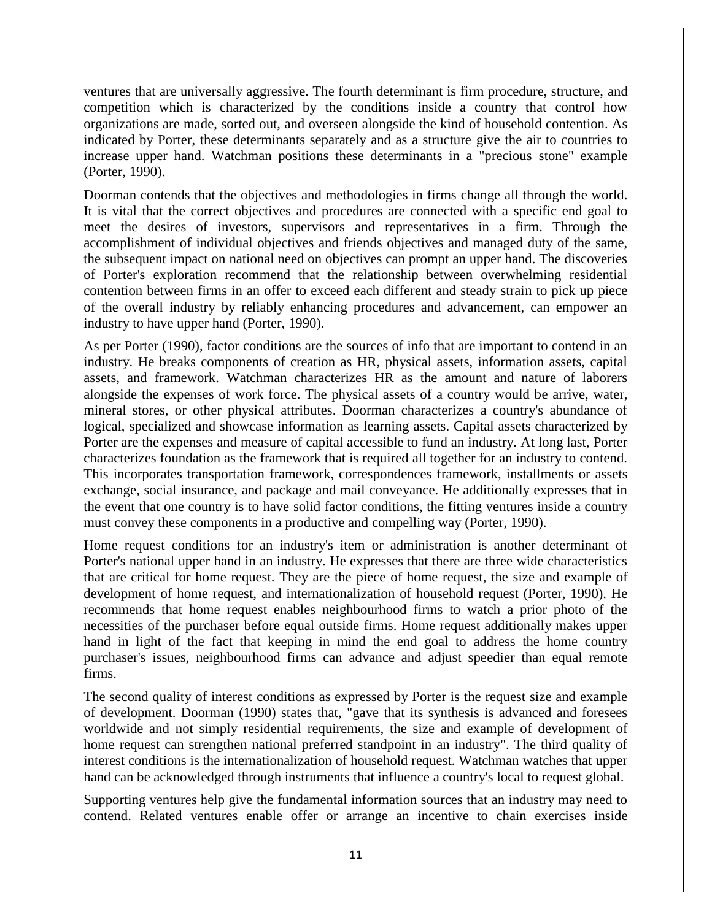ventures that are universally aggressive. The fourth determinant is firm procedure, structure, and competition which is characterized by the conditions inside a country that control how organizations are made, sorted out, and overseen alongside the kind of household contention. As indicated by Porter, these determinants separately and as a structure give the air to countries to increase upper hand. Watchman positions these determinants in a "precious stone" example (Porter, 1990).

Doorman contends that the objectives and methodologies in firms change all through the world. It is vital that the correct objectives and procedures are connected with a specific end goal to meet the desires of investors, supervisors and representatives in a firm. Through the accomplishment of individual objectives and friends objectives and managed duty of the same, the subsequent impact on national need on objectives can prompt an upper hand. The discoveries of Porter's exploration recommend that the relationship between overwhelming residential contention between firms in an offer to exceed each different and steady strain to pick up piece of the overall industry by reliably enhancing procedures and advancement, can empower an industry to have upper hand (Porter, 1990).

As per Porter (1990), factor conditions are the sources of info that are important to contend in an industry. He breaks components of creation as HR, physical assets, information assets, capital assets, and framework. Watchman characterizes HR as the amount and nature of laborers alongside the expenses of work force. The physical assets of a country would be arrive, water, mineral stores, or other physical attributes. Doorman characterizes a country's abundance of logical, specialized and showcase information as learning assets. Capital assets characterized by Porter are the expenses and measure of capital accessible to fund an industry. At long last, Porter characterizes foundation as the framework that is required all together for an industry to contend. This incorporates transportation framework, correspondences framework, installments or assets exchange, social insurance, and package and mail conveyance. He additionally expresses that in the event that one country is to have solid factor conditions, the fitting ventures inside a country must convey these components in a productive and compelling way (Porter, 1990).

Home request conditions for an industry's item or administration is another determinant of Porter's national upper hand in an industry. He expresses that there are three wide characteristics that are critical for home request. They are the piece of home request, the size and example of development of home request, and internationalization of household request (Porter, 1990). He recommends that home request enables neighbourhood firms to watch a prior photo of the necessities of the purchaser before equal outside firms. Home request additionally makes upper hand in light of the fact that keeping in mind the end goal to address the home country purchaser's issues, neighbourhood firms can advance and adjust speedier than equal remote firms.

The second quality of interest conditions as expressed by Porter is the request size and example of development. Doorman (1990) states that, "gave that its synthesis is advanced and foresees worldwide and not simply residential requirements, the size and example of development of home request can strengthen national preferred standpoint in an industry". The third quality of interest conditions is the internationalization of household request. Watchman watches that upper hand can be acknowledged through instruments that influence a country's local to request global.

Supporting ventures help give the fundamental information sources that an industry may need to contend. Related ventures enable offer or arrange an incentive to chain exercises inside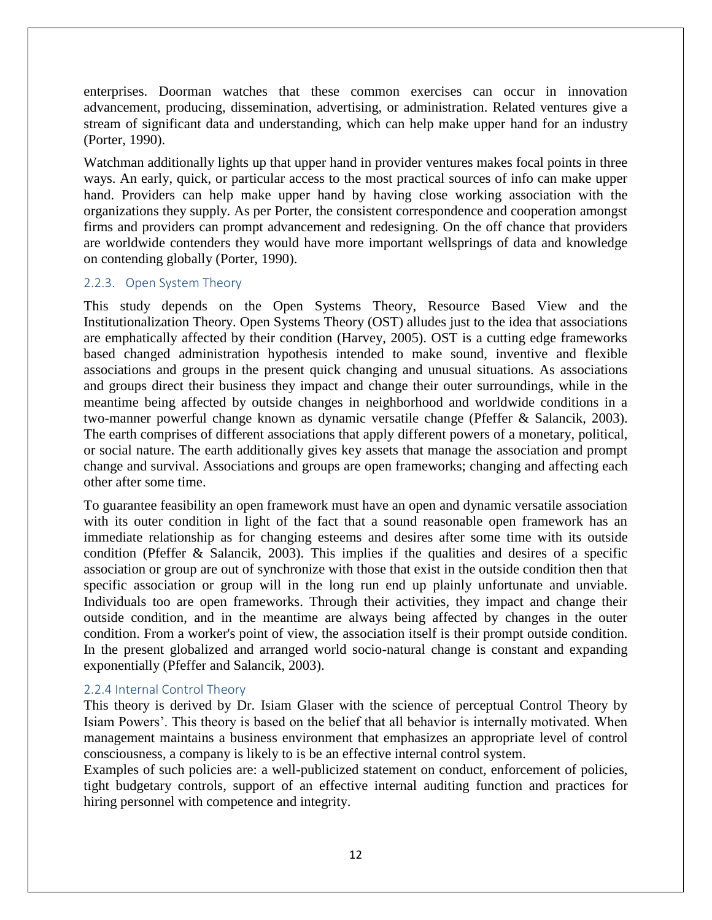enterprises. Doorman watches that these common exercises can occur in innovation advancement, producing, dissemination, advertising, or administration. Related ventures give a stream of significant data and understanding, which can help make upper hand for an industry (Porter, 1990).

Watchman additionally lights up that upper hand in provider ventures makes focal points in three ways. An early, quick, or particular access to the most practical sources of info can make upper hand. Providers can help make upper hand by having close working association with the organizations they supply. As per Porter, the consistent correspondence and cooperation amongst firms and providers can prompt advancement and redesigning. On the off chance that providers are worldwide contenders they would have more important wellsprings of data and knowledge on contending globally (Porter, 1990).

#### 2.2.3. Open System Theory

This study depends on the Open Systems Theory, Resource Based View and the Institutionalization Theory. Open Systems Theory (OST) alludes just to the idea that associations are emphatically affected by their condition (Harvey, 2005). OST is a cutting edge frameworks based changed administration hypothesis intended to make sound, inventive and flexible associations and groups in the present quick changing and unusual situations. As associations and groups direct their business they impact and change their outer surroundings, while in the meantime being affected by outside changes in neighborhood and worldwide conditions in a two-manner powerful change known as dynamic versatile change (Pfeffer & Salancik, 2003). The earth comprises of different associations that apply different powers of a monetary, political, or social nature. The earth additionally gives key assets that manage the association and prompt change and survival. Associations and groups are open frameworks; changing and affecting each other after some time.

To guarantee feasibility an open framework must have an open and dynamic versatile association with its outer condition in light of the fact that a sound reasonable open framework has an immediate relationship as for changing esteems and desires after some time with its outside condition (Pfeffer & Salancik, 2003). This implies if the qualities and desires of a specific association or group are out of synchronize with those that exist in the outside condition then that specific association or group will in the long run end up plainly unfortunate and unviable. Individuals too are open frameworks. Through their activities, they impact and change their outside condition, and in the meantime are always being affected by changes in the outer condition. From a worker's point of view, the association itself is their prompt outside condition. In the present globalized and arranged world socio-natural change is constant and expanding exponentially (Pfeffer and Salancik, 2003).

## 2.2.4 Internal Control Theory

This theory is derived by Dr. Isiam Glaser with the science of perceptual Control Theory by Isiam Powers'. This theory is based on the belief that all behavior is internally motivated. When management maintains a business environment that emphasizes an appropriate level of control consciousness, a company is likely to is be an effective internal control system.

Examples of such policies are: a well-publicized statement on conduct, enforcement of policies, tight budgetary controls, support of an effective internal auditing function and practices for hiring personnel with competence and integrity.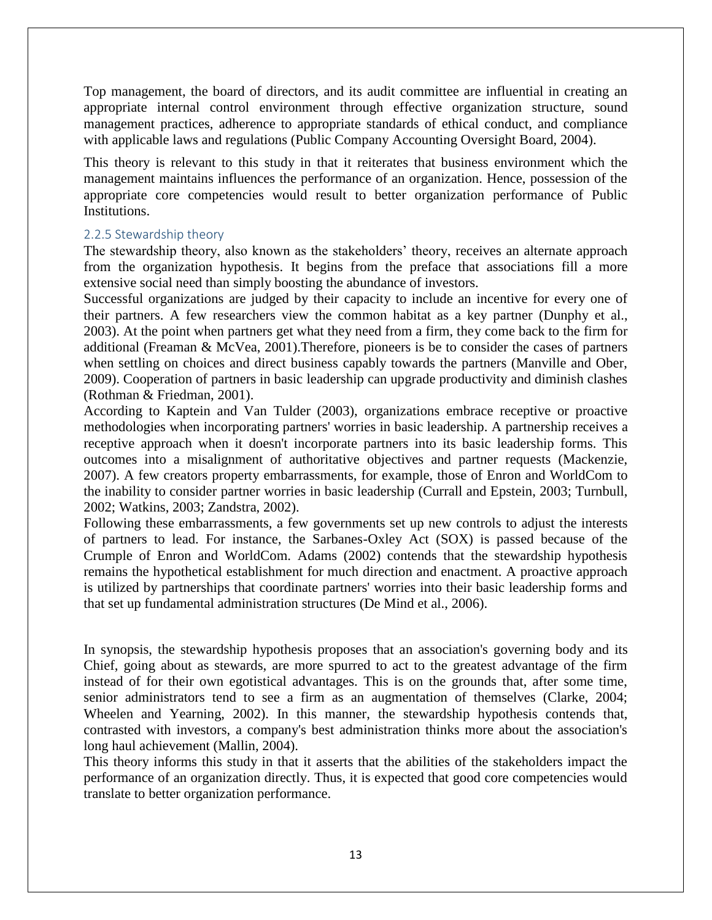Top management, the board of directors, and its audit committee are influential in creating an appropriate internal control environment through effective organization structure, sound management practices, adherence to appropriate standards of ethical conduct, and compliance with applicable laws and regulations (Public Company Accounting Oversight Board, 2004).

This theory is relevant to this study in that it reiterates that business environment which the management maintains influences the performance of an organization. Hence, possession of the appropriate core competencies would result to better organization performance of Public Institutions.

#### 2.2.5 Stewardship theory

The stewardship theory, also known as the stakeholders" theory, receives an alternate approach from the organization hypothesis. It begins from the preface that associations fill a more extensive social need than simply boosting the abundance of investors.

Successful organizations are judged by their capacity to include an incentive for every one of their partners. A few researchers view the common habitat as a key partner (Dunphy et al., 2003). At the point when partners get what they need from a firm, they come back to the firm for additional (Freaman & McVea, 2001).Therefore, pioneers is be to consider the cases of partners when settling on choices and direct business capably towards the partners (Manville and Ober, 2009). Cooperation of partners in basic leadership can upgrade productivity and diminish clashes (Rothman & Friedman, 2001).

According to Kaptein and Van Tulder (2003), organizations embrace receptive or proactive methodologies when incorporating partners' worries in basic leadership. A partnership receives a receptive approach when it doesn't incorporate partners into its basic leadership forms. This outcomes into a misalignment of authoritative objectives and partner requests (Mackenzie, 2007). A few creators property embarrassments, for example, those of Enron and WorldCom to the inability to consider partner worries in basic leadership (Currall and Epstein, 2003; Turnbull, 2002; Watkins, 2003; Zandstra, 2002).

Following these embarrassments, a few governments set up new controls to adjust the interests of partners to lead. For instance, the Sarbanes-Oxley Act (SOX) is passed because of the Crumple of Enron and WorldCom. Adams (2002) contends that the stewardship hypothesis remains the hypothetical establishment for much direction and enactment. A proactive approach is utilized by partnerships that coordinate partners' worries into their basic leadership forms and that set up fundamental administration structures (De Mind et al., 2006).

In synopsis, the stewardship hypothesis proposes that an association's governing body and its Chief, going about as stewards, are more spurred to act to the greatest advantage of the firm instead of for their own egotistical advantages. This is on the grounds that, after some time, senior administrators tend to see a firm as an augmentation of themselves (Clarke, 2004; Wheelen and Yearning, 2002). In this manner, the stewardship hypothesis contends that, contrasted with investors, a company's best administration thinks more about the association's long haul achievement (Mallin, 2004).

This theory informs this study in that it asserts that the abilities of the stakeholders impact the performance of an organization directly. Thus, it is expected that good core competencies would translate to better organization performance.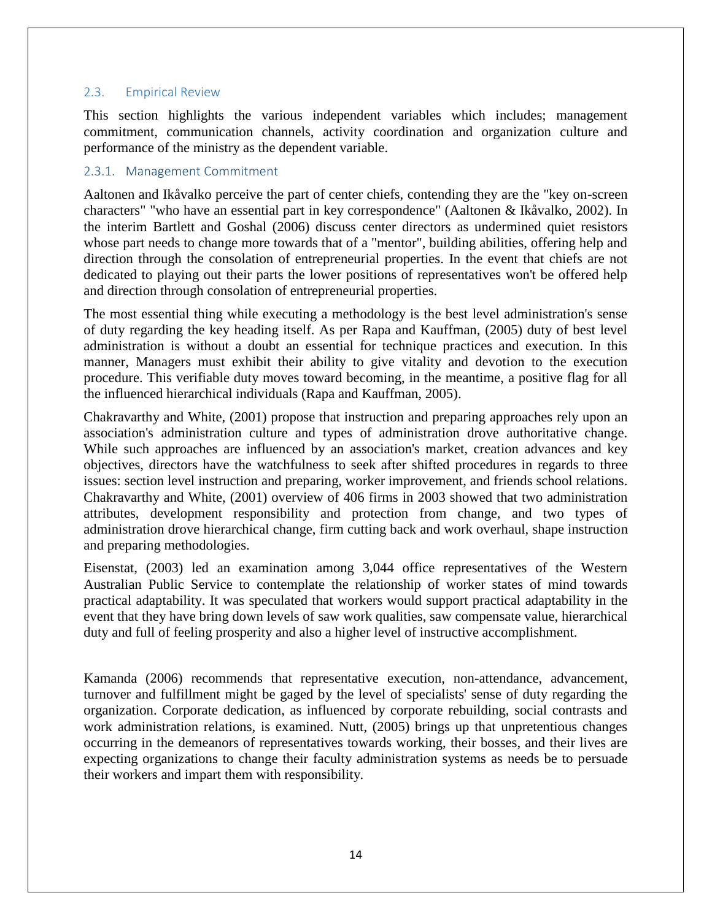### 2.3. Empirical Review

This section highlights the various independent variables which includes; management commitment, communication channels, activity coordination and organization culture and performance of the ministry as the dependent variable.

#### 2.3.1. Management Commitment

Aaltonen and Ikåvalko perceive the part of center chiefs, contending they are the "key on-screen characters" "who have an essential part in key correspondence" (Aaltonen & Ikåvalko, 2002). In the interim Bartlett and Goshal (2006) discuss center directors as undermined quiet resistors whose part needs to change more towards that of a "mentor", building abilities, offering help and direction through the consolation of entrepreneurial properties. In the event that chiefs are not dedicated to playing out their parts the lower positions of representatives won't be offered help and direction through consolation of entrepreneurial properties.

The most essential thing while executing a methodology is the best level administration's sense of duty regarding the key heading itself. As per Rapa and Kauffman, (2005) duty of best level administration is without a doubt an essential for technique practices and execution. In this manner, Managers must exhibit their ability to give vitality and devotion to the execution procedure. This verifiable duty moves toward becoming, in the meantime, a positive flag for all the influenced hierarchical individuals (Rapa and Kauffman, 2005).

Chakravarthy and White, (2001) propose that instruction and preparing approaches rely upon an association's administration culture and types of administration drove authoritative change. While such approaches are influenced by an association's market, creation advances and key objectives, directors have the watchfulness to seek after shifted procedures in regards to three issues: section level instruction and preparing, worker improvement, and friends school relations. Chakravarthy and White, (2001) overview of 406 firms in 2003 showed that two administration attributes, development responsibility and protection from change, and two types of administration drove hierarchical change, firm cutting back and work overhaul, shape instruction and preparing methodologies.

Eisenstat, (2003) led an examination among 3,044 office representatives of the Western Australian Public Service to contemplate the relationship of worker states of mind towards practical adaptability. It was speculated that workers would support practical adaptability in the event that they have bring down levels of saw work qualities, saw compensate value, hierarchical duty and full of feeling prosperity and also a higher level of instructive accomplishment.

Kamanda (2006) recommends that representative execution, non-attendance, advancement, turnover and fulfillment might be gaged by the level of specialists' sense of duty regarding the organization. Corporate dedication, as influenced by corporate rebuilding, social contrasts and work administration relations, is examined. Nutt, (2005) brings up that unpretentious changes occurring in the demeanors of representatives towards working, their bosses, and their lives are expecting organizations to change their faculty administration systems as needs be to persuade their workers and impart them with responsibility.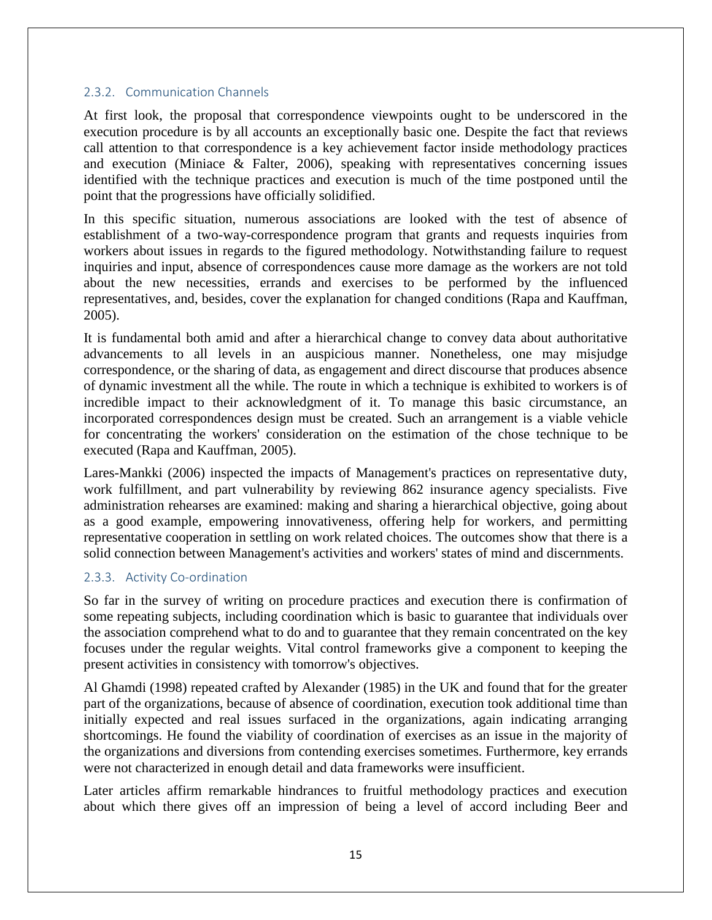## 2.3.2. Communication Channels

At first look, the proposal that correspondence viewpoints ought to be underscored in the execution procedure is by all accounts an exceptionally basic one. Despite the fact that reviews call attention to that correspondence is a key achievement factor inside methodology practices and execution (Miniace & Falter, 2006), speaking with representatives concerning issues identified with the technique practices and execution is much of the time postponed until the point that the progressions have officially solidified.

In this specific situation, numerous associations are looked with the test of absence of establishment of a two-way-correspondence program that grants and requests inquiries from workers about issues in regards to the figured methodology. Notwithstanding failure to request inquiries and input, absence of correspondences cause more damage as the workers are not told about the new necessities, errands and exercises to be performed by the influenced representatives, and, besides, cover the explanation for changed conditions (Rapa and Kauffman, 2005).

It is fundamental both amid and after a hierarchical change to convey data about authoritative advancements to all levels in an auspicious manner. Nonetheless, one may misjudge correspondence, or the sharing of data, as engagement and direct discourse that produces absence of dynamic investment all the while. The route in which a technique is exhibited to workers is of incredible impact to their acknowledgment of it. To manage this basic circumstance, an incorporated correspondences design must be created. Such an arrangement is a viable vehicle for concentrating the workers' consideration on the estimation of the chose technique to be executed (Rapa and Kauffman, 2005).

Lares-Mankki (2006) inspected the impacts of Management's practices on representative duty, work fulfillment, and part vulnerability by reviewing 862 insurance agency specialists. Five administration rehearses are examined: making and sharing a hierarchical objective, going about as a good example, empowering innovativeness, offering help for workers, and permitting representative cooperation in settling on work related choices. The outcomes show that there is a solid connection between Management's activities and workers' states of mind and discernments.

## 2.3.3. Activity Co-ordination

So far in the survey of writing on procedure practices and execution there is confirmation of some repeating subjects, including coordination which is basic to guarantee that individuals over the association comprehend what to do and to guarantee that they remain concentrated on the key focuses under the regular weights. Vital control frameworks give a component to keeping the present activities in consistency with tomorrow's objectives.

Al Ghamdi (1998) repeated crafted by Alexander (1985) in the UK and found that for the greater part of the organizations, because of absence of coordination, execution took additional time than initially expected and real issues surfaced in the organizations, again indicating arranging shortcomings. He found the viability of coordination of exercises as an issue in the majority of the organizations and diversions from contending exercises sometimes. Furthermore, key errands were not characterized in enough detail and data frameworks were insufficient.

Later articles affirm remarkable hindrances to fruitful methodology practices and execution about which there gives off an impression of being a level of accord including Beer and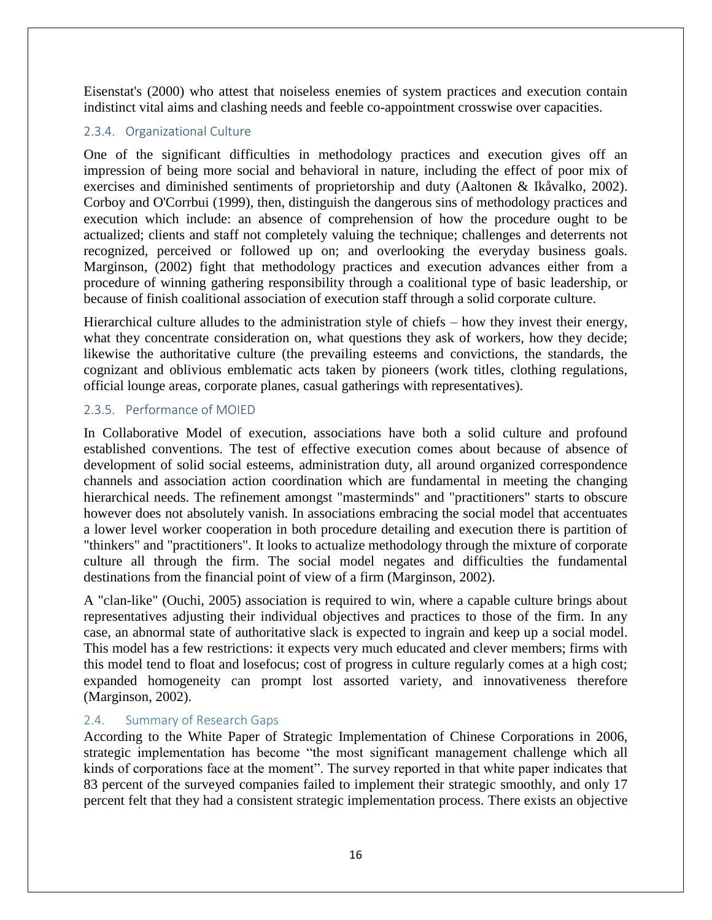Eisenstat's (2000) who attest that noiseless enemies of system practices and execution contain indistinct vital aims and clashing needs and feeble co-appointment crosswise over capacities.

## 2.3.4. Organizational Culture

One of the significant difficulties in methodology practices and execution gives off an impression of being more social and behavioral in nature, including the effect of poor mix of exercises and diminished sentiments of proprietorship and duty (Aaltonen & Ikåvalko, 2002). Corboy and O'Corrbui (1999), then, distinguish the dangerous sins of methodology practices and execution which include: an absence of comprehension of how the procedure ought to be actualized; clients and staff not completely valuing the technique; challenges and deterrents not recognized, perceived or followed up on; and overlooking the everyday business goals. Marginson, (2002) fight that methodology practices and execution advances either from a procedure of winning gathering responsibility through a coalitional type of basic leadership, or because of finish coalitional association of execution staff through a solid corporate culture.

Hierarchical culture alludes to the administration style of chiefs – how they invest their energy, what they concentrate consideration on, what questions they ask of workers, how they decide; likewise the authoritative culture (the prevailing esteems and convictions, the standards, the cognizant and oblivious emblematic acts taken by pioneers (work titles, clothing regulations, official lounge areas, corporate planes, casual gatherings with representatives).

## 2.3.5. Performance of MOIED

In Collaborative Model of execution, associations have both a solid culture and profound established conventions. The test of effective execution comes about because of absence of development of solid social esteems, administration duty, all around organized correspondence channels and association action coordination which are fundamental in meeting the changing hierarchical needs. The refinement amongst "masterminds" and "practitioners" starts to obscure however does not absolutely vanish. In associations embracing the social model that accentuates a lower level worker cooperation in both procedure detailing and execution there is partition of "thinkers" and "practitioners". It looks to actualize methodology through the mixture of corporate culture all through the firm. The social model negates and difficulties the fundamental destinations from the financial point of view of a firm (Marginson, 2002).

A "clan-like" (Ouchi, 2005) association is required to win, where a capable culture brings about representatives adjusting their individual objectives and practices to those of the firm. In any case, an abnormal state of authoritative slack is expected to ingrain and keep up a social model. This model has a few restrictions: it expects very much educated and clever members; firms with this model tend to float and losefocus; cost of progress in culture regularly comes at a high cost; expanded homogeneity can prompt lost assorted variety, and innovativeness therefore (Marginson, 2002).

## 2.4. Summary of Research Gaps

According to the White Paper of Strategic Implementation of Chinese Corporations in 2006, strategic implementation has become "the most significant management challenge which all kinds of corporations face at the moment". The survey reported in that white paper indicates that 83 percent of the surveyed companies failed to implement their strategic smoothly, and only 17 percent felt that they had a consistent strategic implementation process. There exists an objective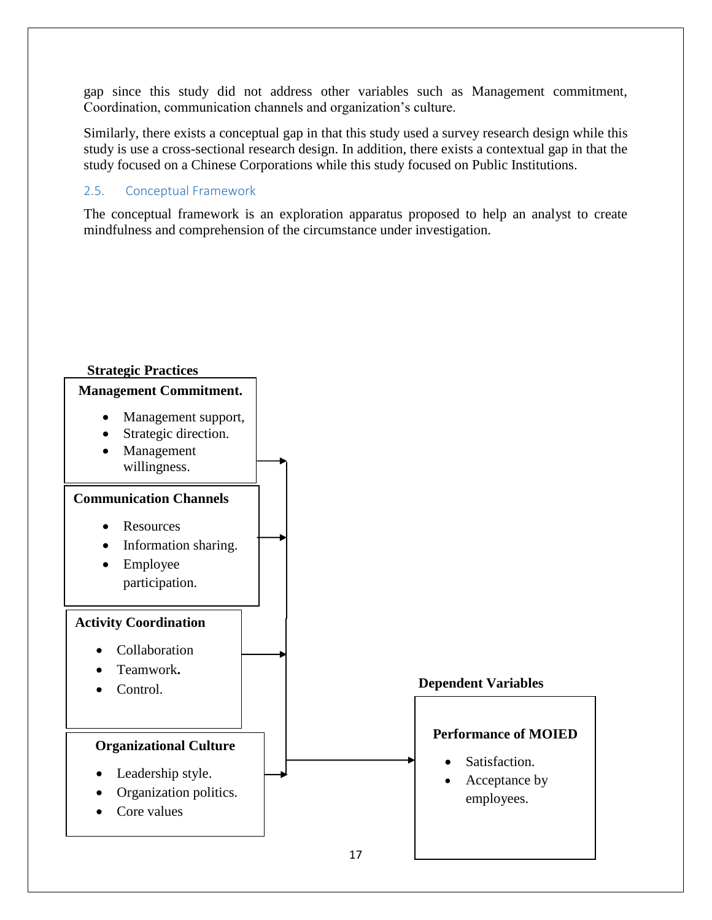gap since this study did not address other variables such as Management commitment, Coordination, communication channels and organization"s culture.

Similarly, there exists a conceptual gap in that this study used a survey research design while this study is use a cross-sectional research design. In addition, there exists a contextual gap in that the study focused on a Chinese Corporations while this study focused on Public Institutions.

## 2.5. Conceptual Framework

The conceptual framework is an exploration apparatus proposed to help an analyst to create mindfulness and comprehension of the circumstance under investigation.

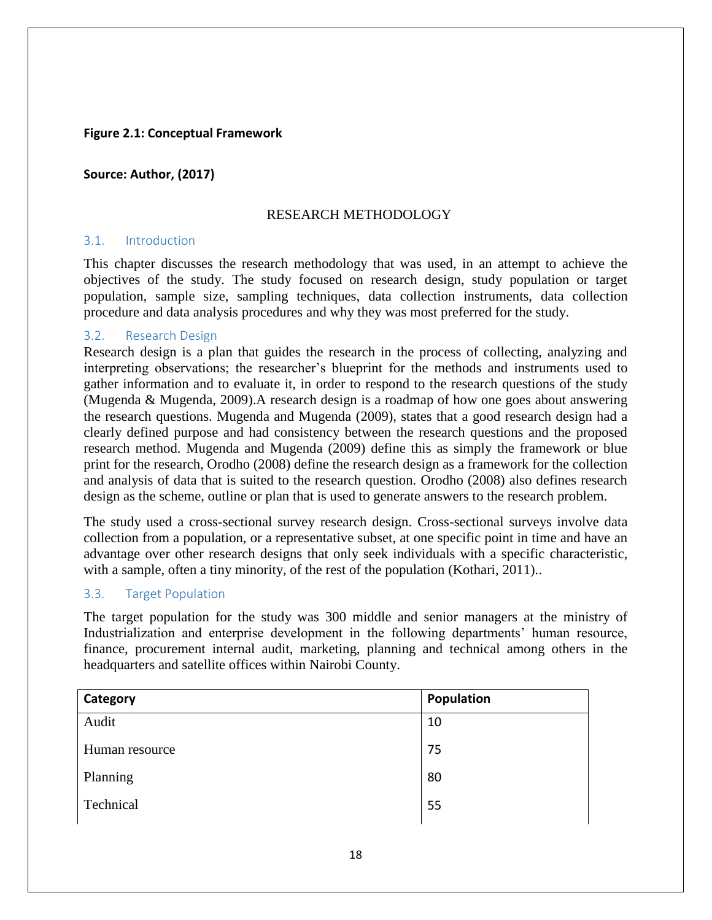## **Figure 2.1: Conceptual Framework**

#### **Source: Author, (2017)**

#### RESEARCH METHODOLOGY

## 3.1. Introduction

This chapter discusses the research methodology that was used, in an attempt to achieve the objectives of the study. The study focused on research design, study population or target population, sample size, sampling techniques, data collection instruments, data collection procedure and data analysis procedures and why they was most preferred for the study.

#### 3.2. Research Design

Research design is a plan that guides the research in the process of collecting, analyzing and interpreting observations; the researcher"s blueprint for the methods and instruments used to gather information and to evaluate it, in order to respond to the research questions of the study (Mugenda & Mugenda, 2009).A research design is a roadmap of how one goes about answering the research questions. Mugenda and Mugenda (2009), states that a good research design had a clearly defined purpose and had consistency between the research questions and the proposed research method. Mugenda and Mugenda (2009) define this as simply the framework or blue print for the research, Orodho (2008) define the research design as a framework for the collection and analysis of data that is suited to the research question. Orodho (2008) also defines research design as the scheme, outline or plan that is used to generate answers to the research problem.

The study used a cross-sectional survey research design. Cross-sectional surveys involve data collection from a population, or a representative subset, at one specific point in time and have an advantage over other research designs that only seek individuals with a specific characteristic, with a sample, often a tiny minority, of the rest of the population (Kothari, 2011)...

## 3.3. Target Population

The target population for the study was 300 middle and senior managers at the ministry of Industrialization and enterprise development in the following departments' human resource, finance, procurement internal audit, marketing, planning and technical among others in the headquarters and satellite offices within Nairobi County.

| Category       | Population |
|----------------|------------|
| Audit          | 10         |
| Human resource | 75         |
| Planning       | 80         |
| Technical      | 55         |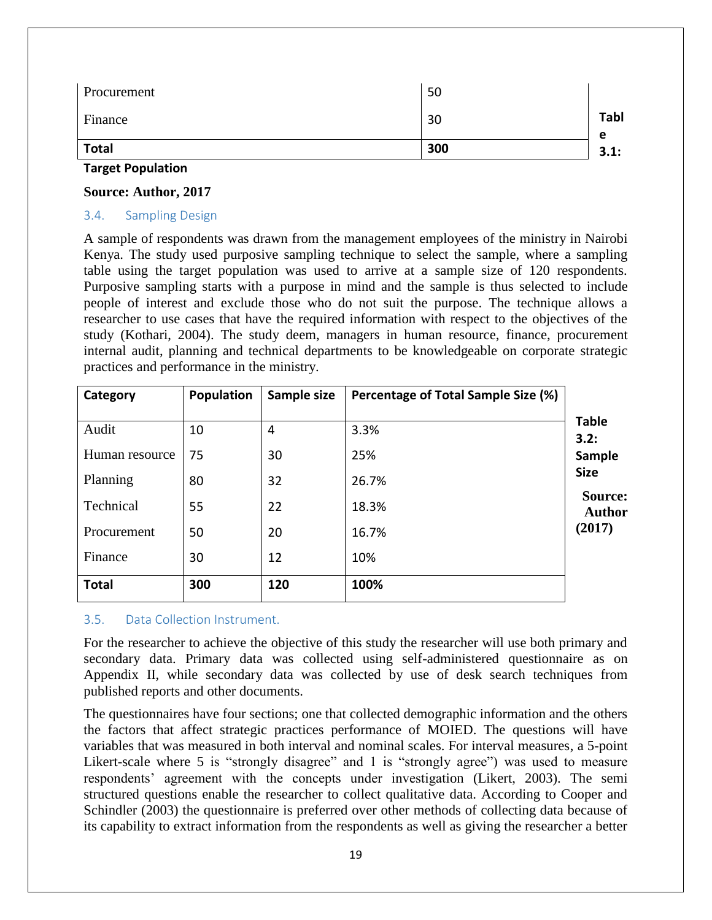| <b>Total</b><br>300 | 3.1:             |
|---------------------|------------------|
| Finance<br>30       | <b>Tabl</b><br>е |
| Procurement<br>50   |                  |

#### **Target Population**

#### **Source: Author, 2017**

### 3.4. Sampling Design

A sample of respondents was drawn from the management employees of the ministry in Nairobi Kenya. The study used purposive sampling technique to select the sample, where a sampling table using the target population was used to arrive at a sample size of 120 respondents. Purposive sampling starts with a purpose in mind and the sample is thus selected to include people of interest and exclude those who do not suit the purpose. The technique allows a researcher to use cases that have the required information with respect to the objectives of the study (Kothari, 2004). The study deem, managers in human resource, finance, procurement internal audit, planning and technical departments to be knowledgeable on corporate strategic practices and performance in the ministry.

| Category       | Population | Sample size | Percentage of Total Sample Size (%) |                          |
|----------------|------------|-------------|-------------------------------------|--------------------------|
|                |            |             |                                     | <b>Table</b>             |
| Audit          | 10         | 4           | 3.3%                                | 3.2:                     |
| Human resource | 75         | 30          | 25%                                 | Sample                   |
| Planning       | 80         | 32          | 26.7%                               | <b>Size</b>              |
| Technical      | 55         | 22          | 18.3%                               | Source:<br><b>Author</b> |
| Procurement    | 50         | 20          | 16.7%                               | (2017)                   |
| Finance        | 30         | 12          | 10%                                 |                          |
| <b>Total</b>   | 300        | 120         | 100%                                |                          |

## 3.5. Data Collection Instrument.

For the researcher to achieve the objective of this study the researcher will use both primary and secondary data. Primary data was collected using self-administered questionnaire as on Appendix II, while secondary data was collected by use of desk search techniques from published reports and other documents.

The questionnaires have four sections; one that collected demographic information and the others the factors that affect strategic practices performance of MOIED. The questions will have variables that was measured in both interval and nominal scales. For interval measures, a 5-point Likert-scale where 5 is "strongly disagree" and 1 is "strongly agree") was used to measure respondents" agreement with the concepts under investigation (Likert, 2003). The semi structured questions enable the researcher to collect qualitative data. According to Cooper and Schindler (2003) the questionnaire is preferred over other methods of collecting data because of its capability to extract information from the respondents as well as giving the researcher a better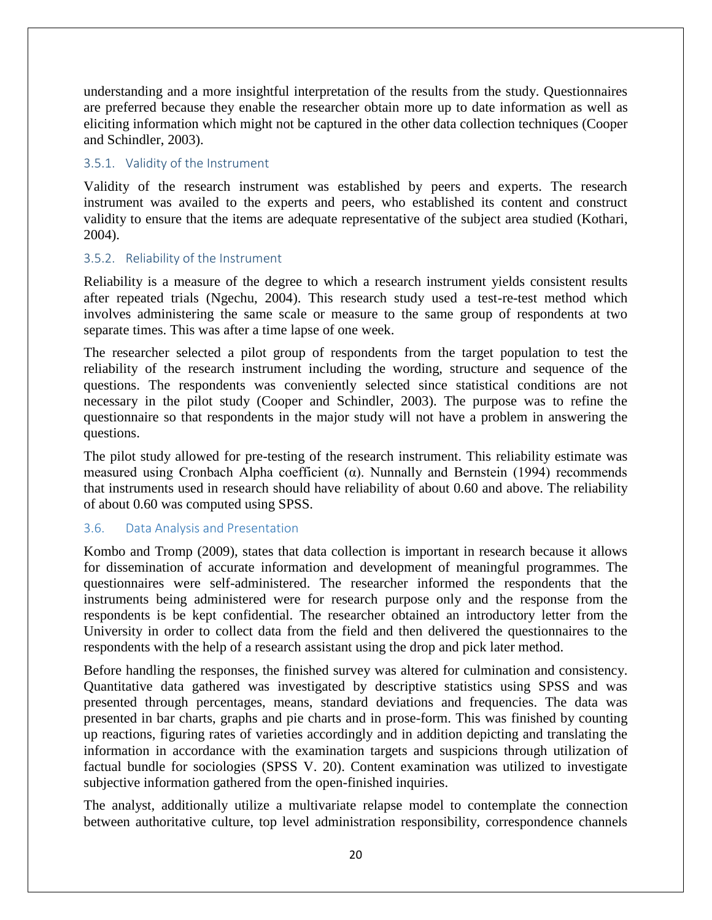understanding and a more insightful interpretation of the results from the study. Questionnaires are preferred because they enable the researcher obtain more up to date information as well as eliciting information which might not be captured in the other data collection techniques (Cooper and Schindler, 2003).

## 3.5.1. Validity of the Instrument

Validity of the research instrument was established by peers and experts. The research instrument was availed to the experts and peers, who established its content and construct validity to ensure that the items are adequate representative of the subject area studied (Kothari, 2004).

## 3.5.2. Reliability of the Instrument

Reliability is a measure of the degree to which a research instrument yields consistent results after repeated trials (Ngechu, 2004). This research study used a test-re-test method which involves administering the same scale or measure to the same group of respondents at two separate times. This was after a time lapse of one week.

The researcher selected a pilot group of respondents from the target population to test the reliability of the research instrument including the wording, structure and sequence of the questions. The respondents was conveniently selected since statistical conditions are not necessary in the pilot study (Cooper and Schindler, 2003). The purpose was to refine the questionnaire so that respondents in the major study will not have a problem in answering the questions.

The pilot study allowed for pre-testing of the research instrument. This reliability estimate was measured using Cronbach Alpha coefficient ( $\alpha$ ). Nunnally and Bernstein (1994) recommends that instruments used in research should have reliability of about 0.60 and above. The reliability of about 0.60 was computed using SPSS.

## 3.6. Data Analysis and Presentation

Kombo and Tromp (2009), states that data collection is important in research because it allows for dissemination of accurate information and development of meaningful programmes. The questionnaires were self-administered. The researcher informed the respondents that the instruments being administered were for research purpose only and the response from the respondents is be kept confidential. The researcher obtained an introductory letter from the University in order to collect data from the field and then delivered the questionnaires to the respondents with the help of a research assistant using the drop and pick later method.

Before handling the responses, the finished survey was altered for culmination and consistency. Quantitative data gathered was investigated by descriptive statistics using SPSS and was presented through percentages, means, standard deviations and frequencies. The data was presented in bar charts, graphs and pie charts and in prose-form. This was finished by counting up reactions, figuring rates of varieties accordingly and in addition depicting and translating the information in accordance with the examination targets and suspicions through utilization of factual bundle for sociologies (SPSS V. 20). Content examination was utilized to investigate subjective information gathered from the open-finished inquiries.

The analyst, additionally utilize a multivariate relapse model to contemplate the connection between authoritative culture, top level administration responsibility, correspondence channels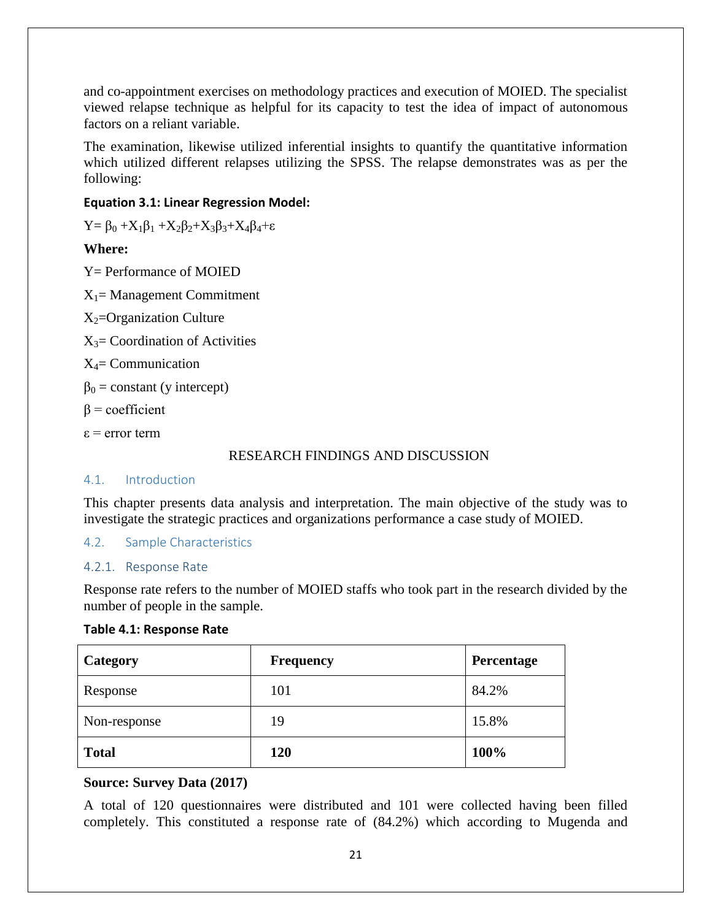and co-appointment exercises on methodology practices and execution of MOIED. The specialist viewed relapse technique as helpful for its capacity to test the idea of impact of autonomous factors on a reliant variable.

The examination, likewise utilized inferential insights to quantify the quantitative information which utilized different relapses utilizing the SPSS. The relapse demonstrates was as per the following:

## **Equation 3.1: Linear Regression Model:**

 $Y = \beta_0 + X_1\beta_1 + X_2\beta_2 + X_3\beta_3 + X_4\beta_4 + \varepsilon$ 

## **Where:**

Y= Performance of MOIED  $X_1$ = Management Commitment  $X_2$ =Organization Culture  $X_3$ = Coordination of Activities  $X_4$ = Communication  $\beta_0$  = constant (y intercept)  $\beta$  = coefficient ε = error term

## RESEARCH FINDINGS AND DISCUSSION

## 4.1. Introduction

This chapter presents data analysis and interpretation. The main objective of the study was to investigate the strategic practices and organizations performance a case study of MOIED.

4.2. Sample Characteristics

## 4.2.1. Response Rate

Response rate refers to the number of MOIED staffs who took part in the research divided by the number of people in the sample.

## **Table 4.1: Response Rate**

| Category     | <b>Frequency</b> | Percentage |
|--------------|------------------|------------|
| Response     | 101              | 84.2%      |
| Non-response | 19               | 15.8%      |
| <b>Total</b> | 120              | 100%       |

## **Source: Survey Data (2017)**

A total of 120 questionnaires were distributed and 101 were collected having been filled completely. This constituted a response rate of (84.2%) which according to Mugenda and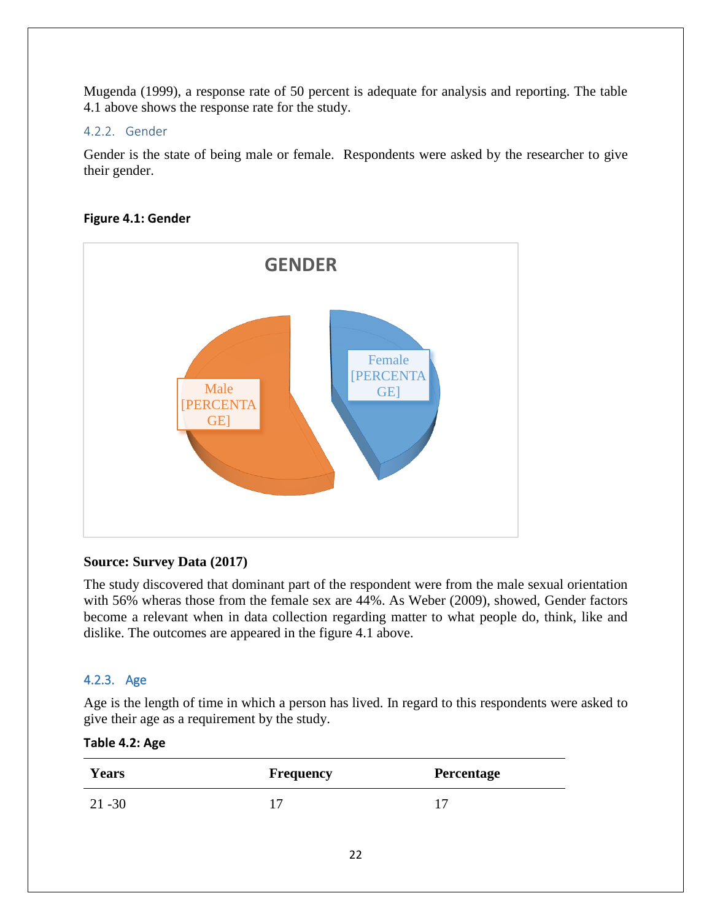Mugenda (1999), a response rate of 50 percent is adequate for analysis and reporting. The table 4.1 above shows the response rate for the study.

## 4.2.2. Gender

Gender is the state of being male or female. Respondents were asked by the researcher to give their gender.

## **Figure 4.1: Gender**



## **Source: Survey Data (2017)**

The study discovered that dominant part of the respondent were from the male sexual orientation with 56% wheras those from the female sex are 44%. As Weber (2009), showed, Gender factors become a relevant when in data collection regarding matter to what people do, think, like and dislike. The outcomes are appeared in the figure 4.1 above.

## 4.2.3. Age

Age is the length of time in which a person has lived. In regard to this respondents were asked to give their age as a requirement by the study.

## **Table 4.2: Age**

| <b>Years</b> | Frequency | Percentage |
|--------------|-----------|------------|
| $21 - 30$    |           |            |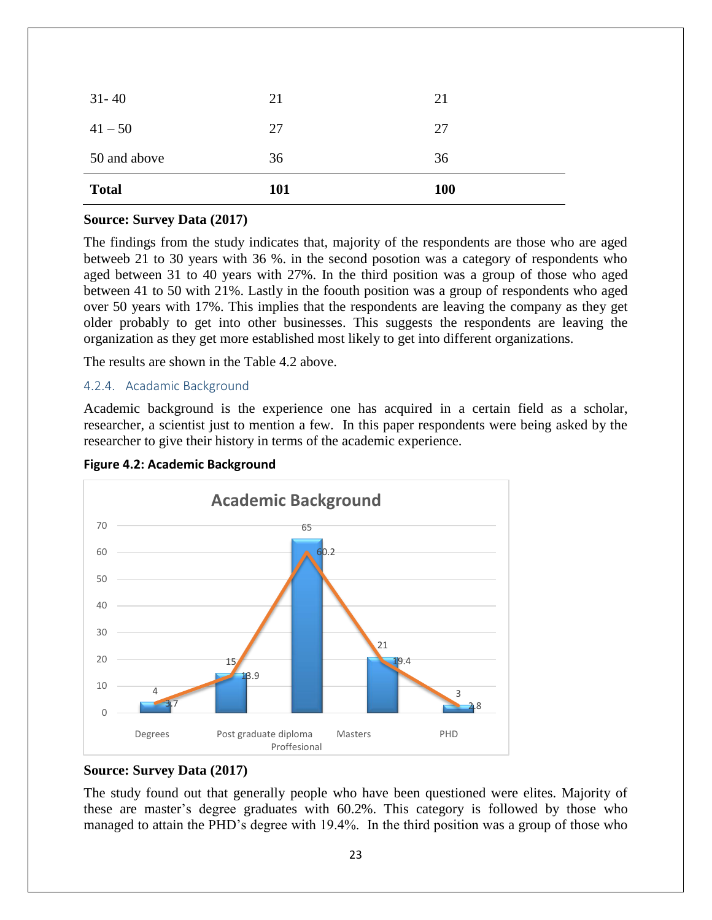| <b>Total</b> | <b>101</b> | <b>100</b> |
|--------------|------------|------------|
| 50 and above | 36         | 36         |
| $41 - 50$    | 27         | 27         |
| $31 - 40$    | 21         | 21         |

#### **Source: Survey Data (2017)**

The findings from the study indicates that, majority of the respondents are those who are aged betweeb 21 to 30 years with 36 %. in the second posotion was a category of respondents who aged between 31 to 40 years with 27%. In the third position was a group of those who aged between 41 to 50 with 21%. Lastly in the foouth position was a group of respondents who aged over 50 years with 17%. This implies that the respondents are leaving the company as they get older probably to get into other businesses. This suggests the respondents are leaving the organization as they get more established most likely to get into different organizations.

The results are shown in the Table 4.2 above.

#### 4.2.4. Acadamic Background

Academic background is the experience one has acquired in a certain field as a scholar, researcher, a scientist just to mention a few. In this paper respondents were being asked by the researcher to give their history in terms of the academic experience.





## **Source: Survey Data (2017)**

The study found out that generally people who have been questioned were elites. Majority of these are master's degree graduates with 60.2%. This category is followed by those who managed to attain the PHD"s degree with 19.4%. In the third position was a group of those who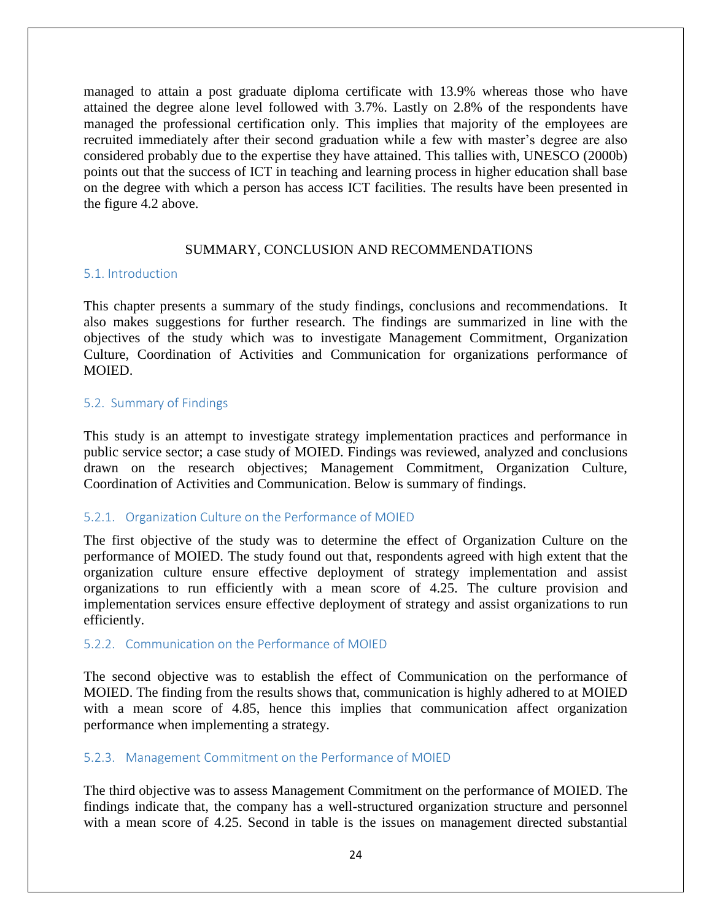managed to attain a post graduate diploma certificate with 13.9% whereas those who have attained the degree alone level followed with 3.7%. Lastly on 2.8% of the respondents have managed the professional certification only. This implies that majority of the employees are recruited immediately after their second graduation while a few with master's degree are also considered probably due to the expertise they have attained. This tallies with, UNESCO (2000b) points out that the success of ICT in teaching and learning process in higher education shall base on the degree with which a person has access ICT facilities. The results have been presented in the figure 4.2 above.

#### SUMMARY, CONCLUSION AND RECOMMENDATIONS

#### 5.1. Introduction

This chapter presents a summary of the study findings, conclusions and recommendations. It also makes suggestions for further research. The findings are summarized in line with the objectives of the study which was to investigate Management Commitment, Organization Culture, Coordination of Activities and Communication for organizations performance of MOIED.

#### 5.2. Summary of Findings

This study is an attempt to investigate strategy implementation practices and performance in public service sector; a case study of MOIED. Findings was reviewed, analyzed and conclusions drawn on the research objectives; Management Commitment, Organization Culture, Coordination of Activities and Communication. Below is summary of findings.

## 5.2.1. Organization Culture on the Performance of MOIED

The first objective of the study was to determine the effect of Organization Culture on the performance of MOIED. The study found out that, respondents agreed with high extent that the organization culture ensure effective deployment of strategy implementation and assist organizations to run efficiently with a mean score of 4.25. The culture provision and implementation services ensure effective deployment of strategy and assist organizations to run efficiently.

#### 5.2.2. Communication on the Performance of MOIED

The second objective was to establish the effect of Communication on the performance of MOIED. The finding from the results shows that, communication is highly adhered to at MOIED with a mean score of 4.85, hence this implies that communication affect organization performance when implementing a strategy.

## 5.2.3. Management Commitment on the Performance of MOIED

The third objective was to assess Management Commitment on the performance of MOIED. The findings indicate that, the company has a well-structured organization structure and personnel with a mean score of 4.25. Second in table is the issues on management directed substantial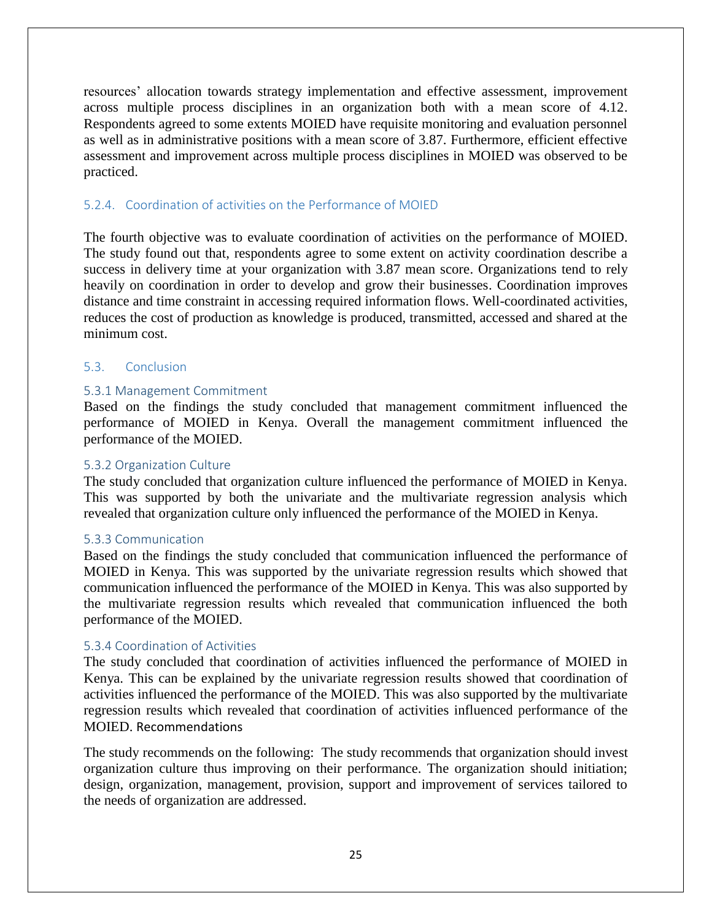resources" allocation towards strategy implementation and effective assessment, improvement across multiple process disciplines in an organization both with a mean score of 4.12. Respondents agreed to some extents MOIED have requisite monitoring and evaluation personnel as well as in administrative positions with a mean score of 3.87. Furthermore, efficient effective assessment and improvement across multiple process disciplines in MOIED was observed to be practiced.

## 5.2.4. Coordination of activities on the Performance of MOIED

The fourth objective was to evaluate coordination of activities on the performance of MOIED. The study found out that, respondents agree to some extent on activity coordination describe a success in delivery time at your organization with 3.87 mean score. Organizations tend to rely heavily on coordination in order to develop and grow their businesses. Coordination improves distance and time constraint in accessing required information flows. Well-coordinated activities, reduces the cost of production as knowledge is produced, transmitted, accessed and shared at the minimum cost.

## 5.3. Conclusion

#### 5.3.1 Management Commitment

Based on the findings the study concluded that management commitment influenced the performance of MOIED in Kenya. Overall the management commitment influenced the performance of the MOIED.

#### 5.3.2 Organization Culture

The study concluded that organization culture influenced the performance of MOIED in Kenya. This was supported by both the univariate and the multivariate regression analysis which revealed that organization culture only influenced the performance of the MOIED in Kenya.

#### 5.3.3 Communication

Based on the findings the study concluded that communication influenced the performance of MOIED in Kenya. This was supported by the univariate regression results which showed that communication influenced the performance of the MOIED in Kenya. This was also supported by the multivariate regression results which revealed that communication influenced the both performance of the MOIED.

## 5.3.4 Coordination of Activities

The study concluded that coordination of activities influenced the performance of MOIED in Kenya. This can be explained by the univariate regression results showed that coordination of activities influenced the performance of the MOIED. This was also supported by the multivariate regression results which revealed that coordination of activities influenced performance of the MOIED. Recommendations

The study recommends on the following: The study recommends that organization should invest organization culture thus improving on their performance. The organization should initiation; design, organization, management, provision, support and improvement of services tailored to the needs of organization are addressed.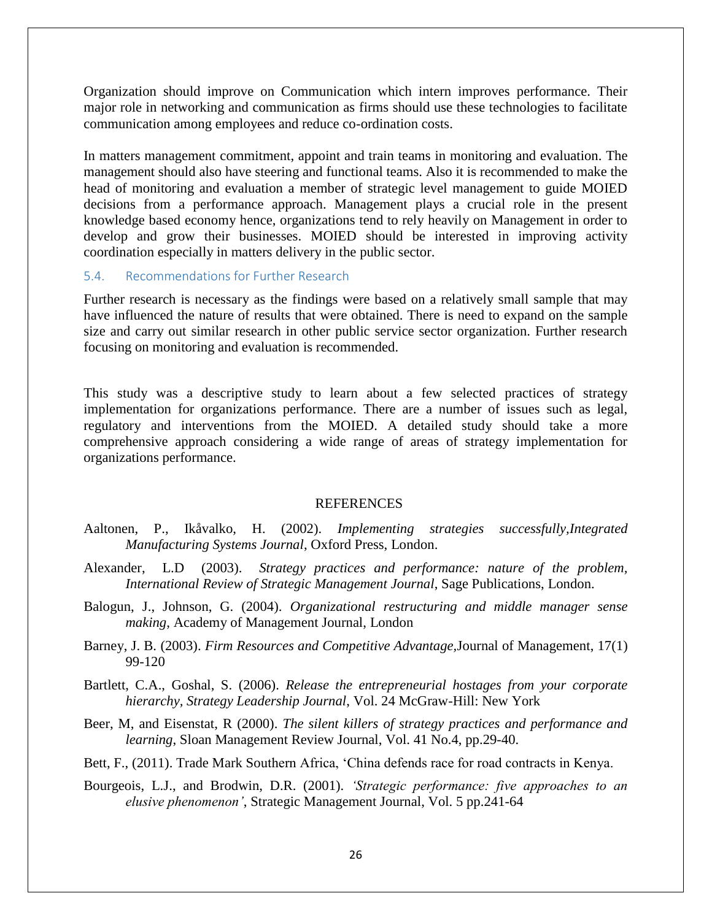Organization should improve on Communication which intern improves performance. Their major role in networking and communication as firms should use these technologies to facilitate communication among employees and reduce co-ordination costs.

In matters management commitment, appoint and train teams in monitoring and evaluation. The management should also have steering and functional teams. Also it is recommended to make the head of monitoring and evaluation a member of strategic level management to guide MOIED decisions from a performance approach. Management plays a crucial role in the present knowledge based economy hence, organizations tend to rely heavily on Management in order to develop and grow their businesses. MOIED should be interested in improving activity coordination especially in matters delivery in the public sector.

#### 5.4. Recommendations for Further Research

Further research is necessary as the findings were based on a relatively small sample that may have influenced the nature of results that were obtained. There is need to expand on the sample size and carry out similar research in other public service sector organization. Further research focusing on monitoring and evaluation is recommended.

This study was a descriptive study to learn about a few selected practices of strategy implementation for organizations performance. There are a number of issues such as legal, regulatory and interventions from the MOIED. A detailed study should take a more comprehensive approach considering a wide range of areas of strategy implementation for organizations performance.

#### **REFERENCES**

- Aaltonen, P., Ikåvalko, H. (2002). *Implementing strategies successfully,Integrated Manufacturing Systems Journal*, Oxford Press, London.
- Alexander, L.D (2003). *Strategy practices and performance: nature of the problem, International Review of Strategic Management Journal*, Sage Publications, London.
- Balogun, J., Johnson, G. (2004). *Organizational restructuring and middle manager sense making*, Academy of Management Journal, London
- Barney, J. B. (2003). *Firm Resources and Competitive Advantage,*Journal of Management, 17(1) 99-120
- Bartlett, C.A., Goshal, S. (2006). *Release the entrepreneurial hostages from your corporate hierarchy, Strategy Leadership Journal*, Vol. 24 McGraw-Hill: New York
- Beer, M, and Eisenstat, R (2000). *The silent killers of strategy practices and performance and learning*, Sloan Management Review Journal, Vol. 41 No.4, pp.29-40.
- Bett, F., (2011). Trade Mark Southern Africa, "China defends race for road contracts in Kenya.
- Bourgeois, L.J., and Brodwin, D.R. (2001). *"Strategic performance: five approaches to an elusive phenomenon"*, Strategic Management Journal, Vol. 5 pp.241-64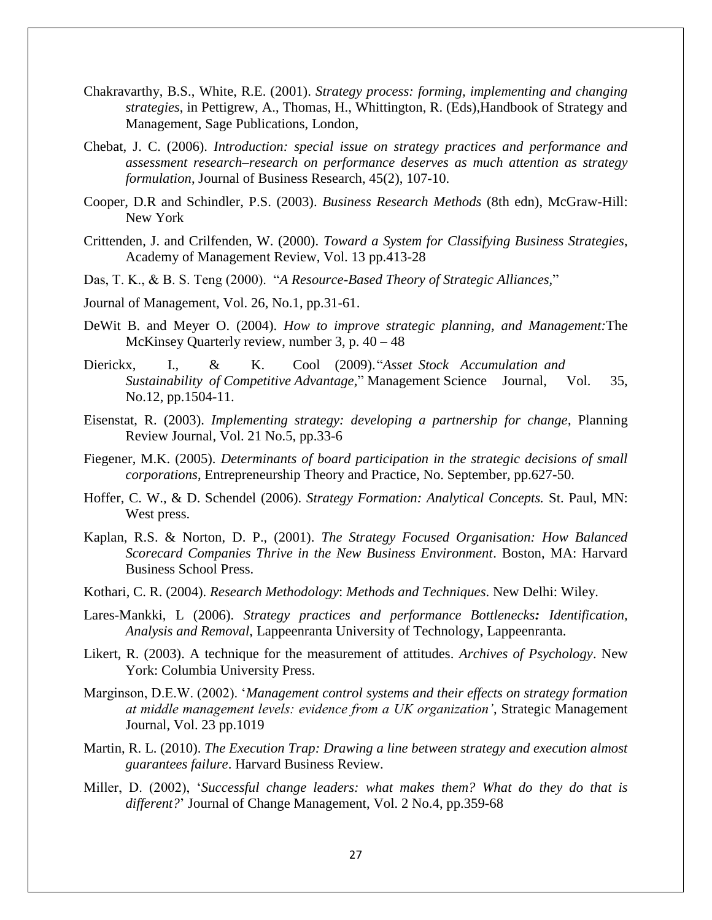- Chakravarthy, B.S., White, R.E. (2001). *Strategy process: forming, implementing and changing strategies*, in Pettigrew, A., Thomas, H., Whittington, R. (Eds),Handbook of Strategy and Management, Sage Publications, London,
- Chebat, J. C. (2006). *Introduction: special issue on strategy practices and performance and assessment research–research on performance deserves as much attention as strategy formulation*, Journal of Business Research, 45(2), 107-10.
- Cooper, D.R and Schindler, P.S. (2003). *Business Research Methods* (8th edn), McGraw-Hill: New York
- Crittenden, J. and Crilfenden, W. (2000). *Toward a System for Classifying Business Strategies*, Academy of Management Review, Vol. 13 pp.413-28
- Das, T. K., & B. S. Teng (2000). "*A Resource-Based Theory of Strategic Alliances,*"
- Journal of Management, Vol. 26, No.1, pp.31-61.
- DeWit B. and Meyer O. (2004). *How to improve strategic planning, and Management:*The McKinsey Quarterly review, number 3, p. 40 – 48
- Dierickx, I., & K. Cool (2009)."*Asset Stock Accumulation and Sustainability of Competitive Advantage,*" Management Science Journal, Vol. 35, No.12, pp.1504-11.
- Eisenstat, R. (2003). *Implementing strategy: developing a partnership for change*, Planning Review Journal, Vol. 21 No.5, pp.33-6
- Fiegener, M.K. (2005). *Determinants of board participation in the strategic decisions of small corporations*, Entrepreneurship Theory and Practice, No. September, pp.627-50.
- Hoffer, C. W., & D. Schendel (2006). *Strategy Formation: Analytical Concepts.* St. Paul, MN: West press.
- Kaplan, R.S. & Norton, D. P., (2001). *The Strategy Focused Organisation: How Balanced Scorecard Companies Thrive in the New Business Environment*. Boston, MA: Harvard Business School Press.
- Kothari, C. R. (2004). *Research Methodology*: *Methods and Techniques*. New Delhi: Wiley.
- Lares-Mankki, L (2006). *Strategy practices and performance Bottlenecks: Identification, Analysis and Removal*, Lappeenranta University of Technology, Lappeenranta.
- Likert, R. (2003). A technique for the measurement of attitudes. *Archives of Psychology*. New York: Columbia University Press.
- Marginson, D.E.W. (2002). "*Management control systems and their effects on strategy formation at middle management levels: evidence from a UK organization"*, Strategic Management Journal, Vol. 23 pp.1019
- Martin, R. L. (2010). *The Execution Trap: Drawing a line between strategy and execution almost guarantees failure*. Harvard Business Review.
- Miller, D. (2002), "*Successful change leaders: what makes them? What do they do that is different?*" Journal of Change Management, Vol. 2 No.4, pp.359-68